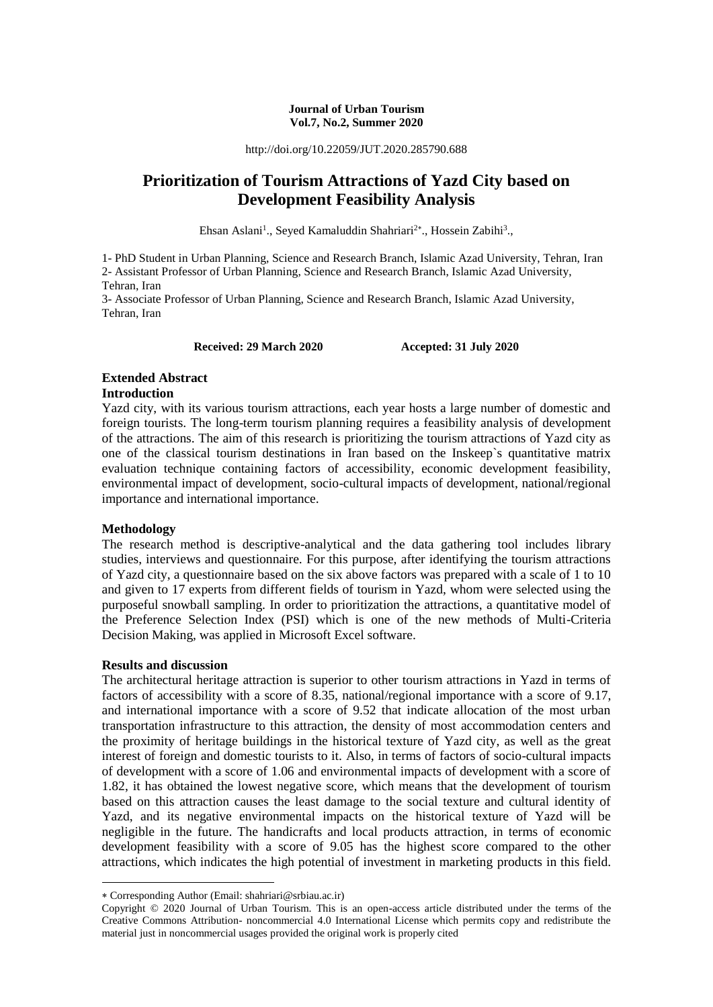#### **Journal of Urban Tourism Vol.7, No.2, Summer 2020**

http://doi.org/10.22059/JUT.2020.285790.688

# **Prioritization of Tourism Attractions of Yazd City based on Development Feasibility Analysis**

Ehsan Aslani<sup>1</sup>., Seyed Kamaluddin Shahriari<sup>2\*</sup>., Hossein Zabihi<sup>3</sup>.,

1- PhD Student in Urban Planning, Science and Research Branch, Islamic Azad University, Tehran, Iran 2- Assistant Professor of Urban Planning, Science and Research Branch, Islamic Azad University, Tehran, Iran 3- Associate Professor of Urban Planning, Science and Research Branch, Islamic Azad University,

Tehran, Iran

**Received: 29 March 2020 Accepted: 31 July 2020**

# **Extended Abstract**

#### **Introduction**

Yazd city, with its various tourism attractions, each year hosts a large number of domestic and foreign tourists. The long-term tourism planning requires a feasibility analysis of development of the attractions. The aim of this research is prioritizing the tourism attractions of Yazd city as one of the classical tourism destinations in Iran based on the Inskeep`s quantitative matrix evaluation technique containing factors of accessibility, economic development feasibility, environmental impact of development, socio-cultural impacts of development, national/regional importance and international importance.

#### **Methodology**

The research method is descriptive-analytical and the data gathering tool includes library studies, interviews and questionnaire. For this purpose, after identifying the tourism attractions of Yazd city, a questionnaire based on the six above factors was prepared with a scale of 1 to 10 and given to 17 experts from different fields of tourism in Yazd, whom were selected using the purposeful snowball sampling. In order to prioritization the attractions, a quantitative model of the Preference Selection Index (PSI) which is one of the new methods of Multi-Criteria Decision Making, was applied in Microsoft Excel software.

#### **Results and discussion**

1

The architectural heritage attraction is superior to other tourism attractions in Yazd in terms of factors of accessibility with a score of 8.35, national/regional importance with a score of 9.17, and international importance with a score of 9.52 that indicate allocation of the most urban transportation infrastructure to this attraction, the density of most accommodation centers and the proximity of heritage buildings in the historical texture of Yazd city, as well as the great interest of foreign and domestic tourists to it. Also, in terms of factors of socio-cultural impacts of development with a score of 1.06 and environmental impacts of development with a score of 1.82, it has obtained the lowest negative score, which means that the development of tourism based on this attraction causes the least damage to the social texture and cultural identity of Yazd, and its negative environmental impacts on the historical texture of Yazd will be negligible in the future. The handicrafts and local products attraction, in terms of economic development feasibility with a score of 9.05 has the highest score compared to the other attractions, which indicates the high potential of investment in marketing products in this field.

Corresponding Author (Email: shahriari@srbiau.ac.ir)

Copyright © 2020 Journal of Urban Tourism. This is an open-access article distributed under the terms of the Creative Commons Attribution- noncommercial 4.0 International License which permits copy and redistribute the material just in noncommercial usages provided the original work is properly cited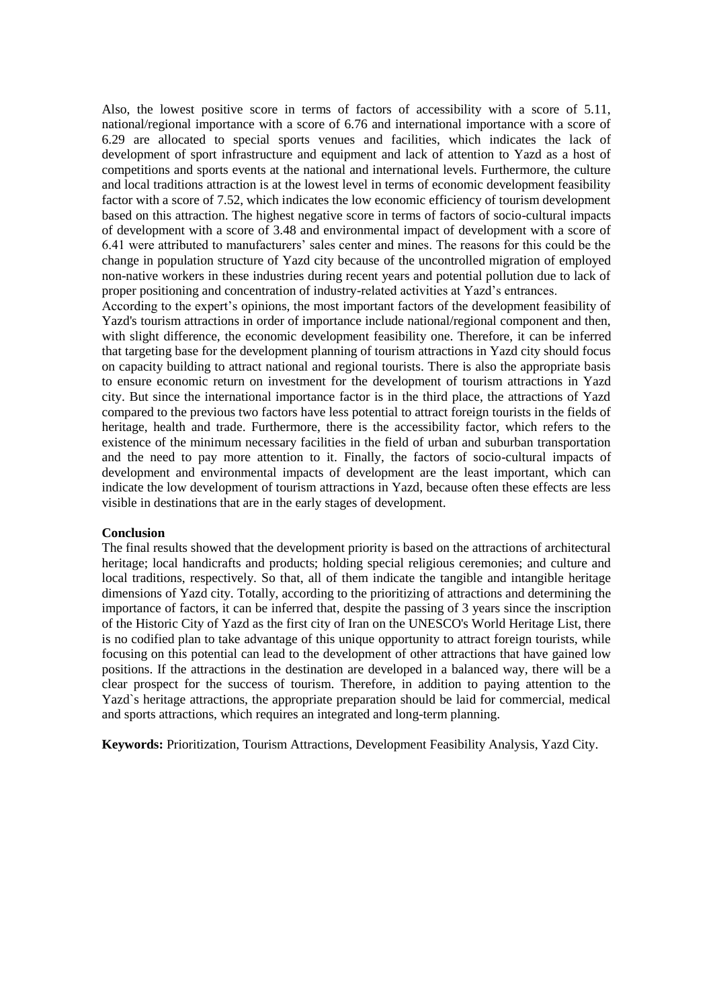Also, the lowest positive score in terms of factors of accessibility with a score of 5.11, national/regional importance with a score of 6.76 and international importance with a score of 6.29 are allocated to special sports venues and facilities, which indicates the lack of development of sport infrastructure and equipment and lack of attention to Yazd as a host of competitions and sports events at the national and international levels. Furthermore, the culture and local traditions attraction is at the lowest level in terms of economic development feasibility factor with a score of 7.52, which indicates the low economic efficiency of tourism development based on this attraction. The highest negative score in terms of factors of socio-cultural impacts of development with a score of 3.48 and environmental impact of development with a score of 6.41 were attributed to manufacturers' sales center and mines. The reasons for this could be the change in population structure of Yazd city because of the uncontrolled migration of employed non-native workers in these industries during recent years and potential pollution due to lack of proper positioning and concentration of industry-related activities at Yazd's entrances.

According to the expert's opinions, the most important factors of the development feasibility of Yazd's tourism attractions in order of importance include national/regional component and then, with slight difference, the economic development feasibility one. Therefore, it can be inferred that targeting base for the development planning of tourism attractions in Yazd city should focus on capacity building to attract national and regional tourists. There is also the appropriate basis to ensure economic return on investment for the development of tourism attractions in Yazd city. But since the international importance factor is in the third place, the attractions of Yazd compared to the previous two factors have less potential to attract foreign tourists in the fields of heritage, health and trade. Furthermore, there is the accessibility factor, which refers to the existence of the minimum necessary facilities in the field of urban and suburban transportation and the need to pay more attention to it. Finally, the factors of socio-cultural impacts of development and environmental impacts of development are the least important, which can indicate the low development of tourism attractions in Yazd, because often these effects are less visible in destinations that are in the early stages of development.

#### **Conclusion**

The final results showed that the development priority is based on the attractions of architectural heritage; local handicrafts and products; holding special religious ceremonies; and culture and local traditions, respectively. So that, all of them indicate the tangible and intangible heritage dimensions of Yazd city. Totally, according to the prioritizing of attractions and determining the importance of factors, it can be inferred that, despite the passing of 3 years since the inscription of the Historic City of Yazd as the first city of Iran on the UNESCO's World Heritage List, there is no codified plan to take advantage of this unique opportunity to attract foreign tourists, while focusing on this potential can lead to the development of other attractions that have gained low positions. If the attractions in the destination are developed in a balanced way, there will be a clear prospect for the success of tourism. Therefore, in addition to paying attention to the Yazd`s heritage attractions, the appropriate preparation should be laid for commercial, medical and sports attractions, which requires an integrated and long-term planning.

**Keywords:** Prioritization, Tourism Attractions, Development Feasibility Analysis, Yazd City.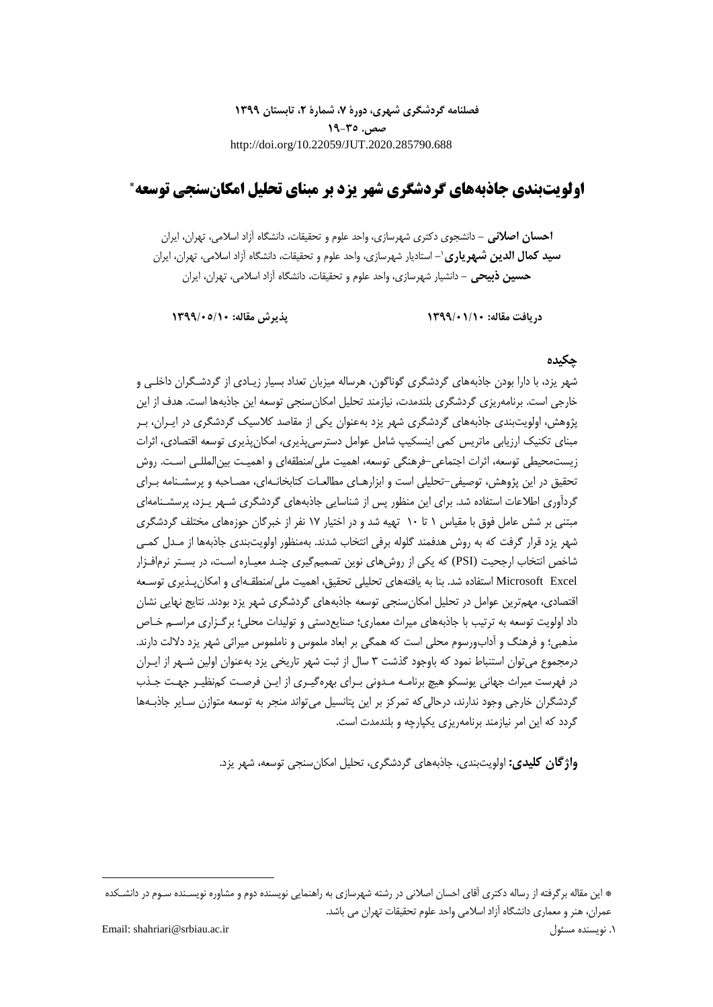**فصلنامه گردشگری شهری، دورۀ ،7 شمارۀ ،2 تابستان 1399 صص. 19-35** http://doi.org/10.22059/JUT.2020.285790.688

# **اولویتبندی جاذبههای گردشگری شهر یزد بر مبنای تحلیل امکانسنجی توسعه**

**احسان اصالنی -** دانشجوی دکتری شهرسازی، واحد علوم و تحقیقات، دانشگاه آزاد اسالمی، تهران، ایران **سید کمال الدین شبهریاری**`– استادیار شهرسازی، واحد علوم و تحقیقات، دانشگاه ازاد اسلامی، تهران، ایران **حسین ذبیحی -** دانشیار شهرسازی، واحد علوم و تحقیقات، دانشگاه آزاد اسالمی، تهران، ایران

**دریافت مقاله: 1399/01/10 پذیرش مقاله: 1399/05/10**

#### **چکیده**

شهر یزد، با دارا بودن جاذبههای گردشگری گوناگون، هرساله میزبان تعداد بسیار زیـادی از گردشـگران داخلـی و خارجی است. برنامهریزی گردشگری بلندمدت، نیازمند تحلیل امکانسنجی توسعه این جاذبهها است. هدف از این پژوهش، اولویتبندی جاذبههای گردشگری شهر یزد بهعنوان یکی از مقاصد کالسیک گردشگری در ایـران، بـر مبنای تکنیک ارزیابی ماتریس کمی اینسکیپ شامل عوامل دسترسیپذیری، امکانپذیری توسعه اقتصادی، اثرات زیستمحیطی توسعه، اثرات اجتماعی-فرهنگی توسعه، اهمیت ملی/منطقهای و اهمیـت بینالمللـی اسـت. روش تحقیق در این پژوهش، توصیفی-تحلیلی است و ابزارهـای مطالعـات کتابخانـهای، مصـاحبه و پرسشـنامه بـرای گردآوری اطالعات استفاده شد. برای این منظور پس از شناسایی جاذبههای گردشگری شـهر یـزد، پرسشـنامهای مبتنی بر شش عامل فوق با مقیاس 1 تا 10 تهیه شد و در اختیار 17 نفر از خبرگان حوزههای مختلف گردشگری شهر یزد قرار گرفت که به روش هدفمند گلوله برفی انتخاب شدند. بهمنظور اولویتبندی جاذبهها از مـدل کمـی شاخص انتخاب ارجحیت (PSI (که یکی از روشهای نوین تصمیمگیری چنـد معیـاره اسـت، در بسـتر نرمافـزار Microsoft Excel استفاده شد. بنا به یافتههای تحلیلی تحقیق، اهمیت ملی/منطقـهای و امکانپـذیری توسـعه اقتصادی، مهمترین عوامل در تحلیل امکانسنجی توسعه جاذبههای گردشگری شهر یزد بودند. نتایج نهایی نشان داد اولویت توسعه به ترتیب با جاذبههای میراث معماری؛ صنایعدستی و تولیدات محلی؛ برگـزاری مراسـم خـاص مذهبی؛ و فرهنگ و آدابورسوم محلی است که همگی بر ابعاد ملموس و ناملموس میراثی شهر یزد داللت دارند. درمجموع میتوان استنباط نمود که باوجود گذشت 3 سال از ثبت شهر تاریخی یزد بهعنوان اولین شـهر از ایـران در فهرست میراث جهانی یونسکو هیچ برنامـه مـدونی بـرای بهرهگیـری از ایـن فرصـت کمنظیـر جهـت جـذب گردشگران خارجی وجود ندارند، درحالیکه تمرکز بر این پتانسیل میتواند منجر به توسعه متوازن سـایر جاذبـهها گردد که این امر نیازمند برنامهریزی یکپارچه و بلندمدت است.

**واژگان کلیدی:** اولویتبندی، جاذبههای گردشگری، تحلیل امکانسنجی توسعه، شهر یزد.

**.** 

<sup>\*</sup> این مقاله برگرفته از رساله دکتری آقای احسان اصالنی در رشته شهرسازی به راهنمایی نویسنده دوم و مشاوره نویسـنده سـوم در دانشـکده عمران، هنر و معماری دانشگاه آزاد اسالمی واحد علوم تحقیقات تهران می باشد.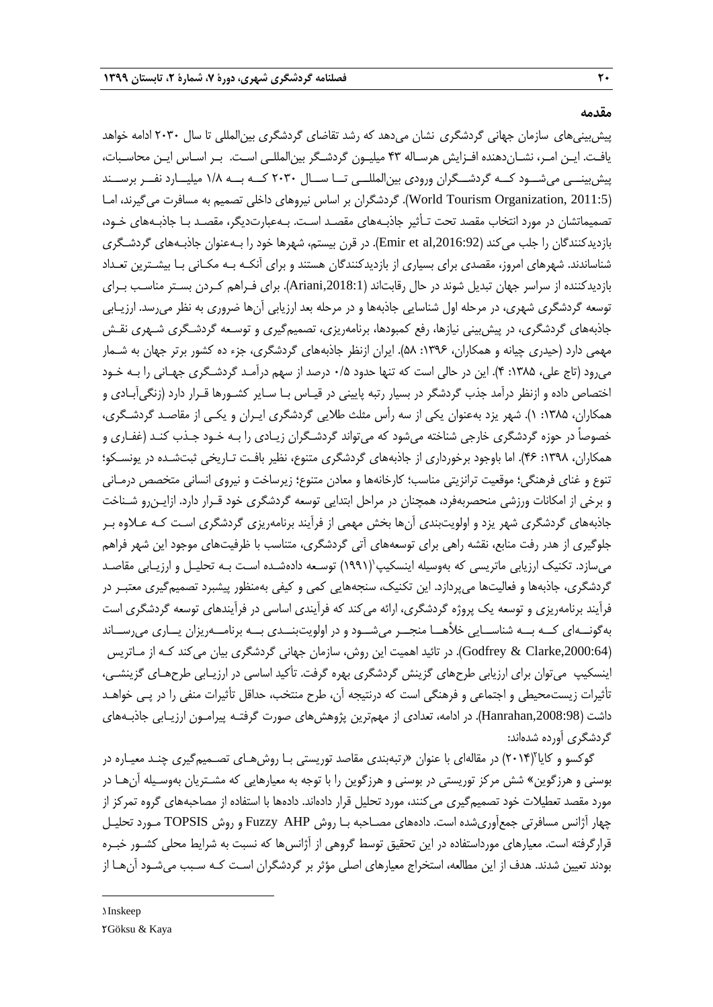**مقدمه**

پیشبینیهای سازمان جهانی گردشگری نشان میدهد که رشد تقاضای گردشگری بینالمللی تا سال 2030 ادامه خواهد یافـت. ایـن امـر، نشـاندهنده افـزایش هرسـاله 43 میلیـون گردشـگر بینالمللـی اسـت. بـر اسـاس ایـن محاسـبات، پیشبینــی میشــود کــه گردشــگران ورودی بینالمللــی تــا ســال 2030 کــه بــه 1/8 میلیــارد نفــر برســند )2011:5 ,Organization Tourism World). گردشگران بر اساس نیروهای داخلی تصمیم به مسافرت میگیرند، امـا تصمیماتشان در مورد انتخاب مقصد تحت تـأثیر جاذبـههای مقصـد اسـت. بـهعبارتدیگر، مقصـد بـا جاذبـههای خـود، بازدیدکنندگان را جلب میکند ),2016:92al et Emir). در قرن بیستم، شهرها خود را بـهعنوان جاذبـههای گردشـگری شناساندند. شهرهای امروز، مقصدی برای بسیاری از بازدیدکنندگان هستند و برای آنکـه بـه مکـانی بـا بیشـترین تعـداد بازدیدکننده از سراسر جهان تبدیل شوند در حال رقابتاند ),2018:1Ariani). برای فـراهم کـردن بسـتر مناسـب بـرای توسعه گردشگری شهری، در مرحله اول شناسایی جاذبهها و در مرحله بعد ارزیابی آنها ضروری به نظر میرسد. ارزیـابی جاذبههای گردشگری، در پیشبینی نیازها، رفع کمبودها، برنامهریزی، تصمیمگیری و توسـعه گردشـگری شـهری نقـش مهمی دارد (حیدری چیانه و همکاران، ۱۳۹۶: ۵۸). ایران ازنظر جاذبههای گردشگری، جزء ده کشور برتر جهان به شـمار میرود )تاج علی، :1385 4(. این در حالی است که تنها حدود 0/5 درصد از سهم درآمـد گردشـگری جهـانی را بـه خـود اختصاص داده و ازنظر درآمد جذب گردشگر در بسیار رتبه پایینی در قیـاس بـا سـایر کشـورها قـرار دارد )زنگیآبـادی و همکاران، ۱۳۸۵: ۱). شهر یزد بهعنوان یکی از سه رأس مثلث طلایی گردشگری ایـران و یکـی از مقاصـد گردشـگری، خصوصاً در حوزه گردشگری خارجی شناخته میشود که میتواند گردشـگران زیـادی را بـه خـود جـذب کنـد )غفـاری و همکاران، :1398 46(. اما باوجود برخورداری از جاذبههای گردشگری متنوع، نظیر بافـت تـاریخی ثبتشـده در یونسـکو؛ تنوع و غنای فرهنگی؛ موقعیت ترانزیتی مناسب؛ کارخانهها و معادن متنوع؛ زیرساخت و نیروی انسانی متخصص درمـانی و برخی از امکانات ورزشی منحصربهفرد، همچنان در مراحل ابتدایی توسعه گردشگری خود قـرار دارد. ازایـنرو شـناخت جاذبههای گردشگری شهر یزد و اولویتبندی آنها بخش مهمی از فرآیند برنامهریزی گردشگری اسـت کـه عـالوه بـر جلوگیری از هدر رفت منابع، نقشه راهی برای توسعههای آتی گردشگری، متناسب با ظرفیتهای موجود این شهر فراهم میسازد. تکنیک ارزیابی ماتریسی که بهوسیله اینسکیپ $($ ۱۹۹۱) توسـعه دادهشـده اسـت بـه تحلیـل و ارزیـابی مقاصـد گردشگری، جاذبهها و فعالیتها میپردازد. این تکنیک، سنجههایی کمی و کیفی بهمنظور پیشبرد تصمیمگیری معتبـر در فرآیند برنامهریزی و توسعه یک پروژه گردشگری، ارائه میکند که فرآیندی اساسی در فرآیندهای توسعه گردشگری است بهگونــهای کــه بــه شناســایی خمهــا منجــر میشــود و در اولویتبنــدی بــه برنامــهریزان یــاری میرســاند ),2000:64Clarke & Godfrey). در تائید اهمیت این روش، سازمان جهانی گردشگری بیان میکند کـه از مـاتریس اینسکیپ میتوان برای ارزیابی طرحهای گزینش گردشگری بهره گرفت. تأکید اساسی در ارزیـابی طرحهـای گزینشـی، تأثیرات زیستمحیطی و اجتماعی و فرهنگی است که درنتیجه آن، طرح منتخب، حداقل تأثیرات منفی را در پـی خواهـد داشت ),2008:98Hanrahan). در ادامه، تعدادی از مهمترین پژوهشهای صورت گرفتـه پیرامـون ارزیـابی جاذبـههای گردشگری آورده شدهاند:

گوکسو و کایا ٔ(۲۰۱۴) در مقالهای با عنوان «رتبهبندی مقاصد توریستی بـا روشهـای تصـمیمگیری چنـد معیـاره در بوسنی و هرزگوین« شش مرکز توریستی در بوسنی و هرزگوین را با توجه به معیارهایی که مشـتریان بهوسـیله آنهـا در مورد مقصد تعطیالت خود تصمیمگیری میکنند، مورد تحلیل قرار دادهاند. دادهها با استفاده از مصاحبههای گروه تمرکز از چهار آژانس مسافرتی جمعآوریشده است. دادههای مصـاحبه بـا روش AHP Fuzzy و روش TOPSIS مـورد تحلیـل قرارگرفته است. معیارهای مورداستفاده در این تحقیق توسط گروهی از آژانس ها که نسبت به شرایط محلی کشـور خبـره بودند تعیین شدند. هدف از این مطالعه، استخراج معیارهای اصلی مؤثر بر گردشگران اسـت کـه سـبب میشـود آنهـا از

1. Inskeep 2. Göksu & Kaya

**.**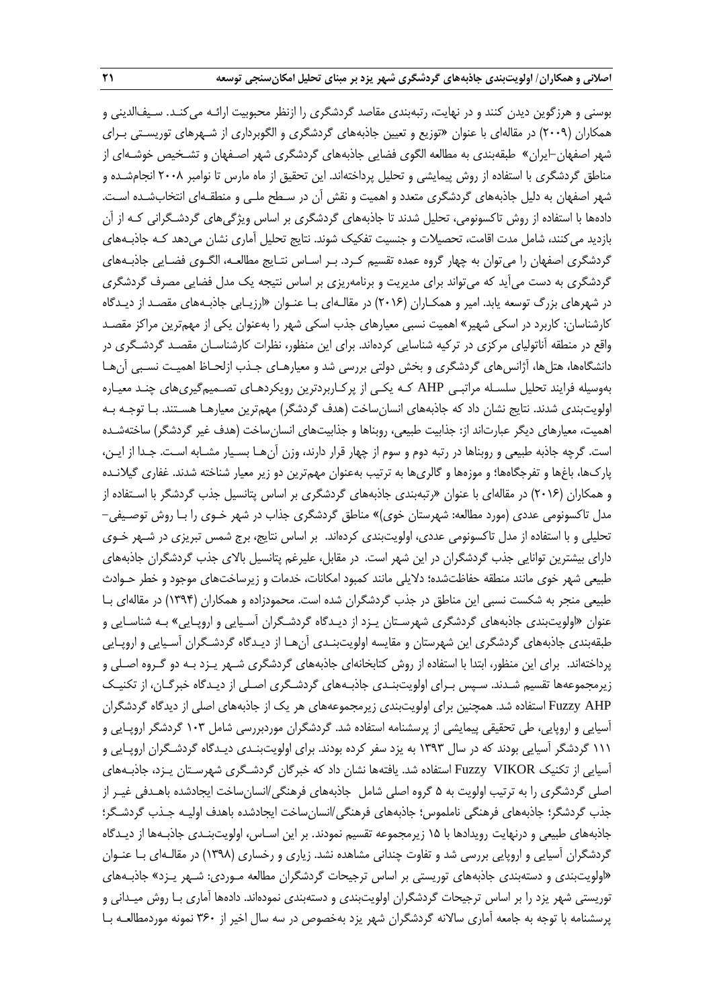بوسنی و هرزگوین دیدن کنند و در نهایت، رتبهبندی مقاصد گردشگری را ازنظر محبوبیت ارائـه میکنـد. سـیفالدینی و همکاران )2009( در مقالهای با عنوان »توزیع و تعیین جاذبههای گردشگری و الگوبرداری از شـهرهای توریسـتی بـرای شهر اصفهان-ایران« طبقهبندی به مطالعه الگوی فضایی جاذبههای گردشگری شهر اصـفهان و تشـخیص خوشـهای از مناطق گردشگری با استفاده از روش پیمایشی و تحلیل پرداختهاند. این تحقیق از ماه مارس تا نوامبر 2008 انجامشـده و شهر اصفهان به دلیل جاذبههای گردشگری متعدد و اهمیت و نقش آن در سـطح ملـی و منطقـهای انتخابشـده اسـت. دادهها با استفاده از روش تاکسونومی، تحلیل شدند تا جاذبههای گردشگری بر اساس ویژگیهای گردشـگرانی کـه از آن بازدید میکنند، شامل مدت اقامت، تحصیالت و جنسیت تفکیک شوند. نتایج تحلیل آماری نشان میدهد کـه جاذبـههای گردشگری اصفهان را میتوان به چهار گروه عمده تقسیم کـرد. بـر اسـاس نتـایج مطالعـه، الگـوی فضـایی جاذبـههای گردشگری به دست میآید که میتواند برای مدیریت و برنامهریزی بر اساس نتیجه یک مدل فضایی مصرف گردشگری در شهرهای بزرگ توسعه یابد. امیر و همکـاران )2016( در مقالـهای بـا عنـوان »ارزیـابی جاذبـههای مقصـد از دیـدگاه کارشناسان: کاربرد در اسکی شهیر« اهمیت نسبی معیارهای جذب اسکی شهر را بهعنوان یکی از مهمترین مراکز مقصـد واقع در منطقه آناتولیای مرکزی در ترکیه شناسایی کردهاند. برای این منظور، نظرات کارشناسـان مقصـد گردشـگری در دانشگاهها، هتلها، آژانسهای گردشگری و بخش دولتی بررسی شد و معیارهـای جـذب ازلحـاظ اهمیـت نسـبی آنهـا بهوسیله فرایند تحلیل سلسـله مراتبـی AHP کـه یکـی از پرکـاربردترین رویکردهـای تصـمیمگیریهای چنـد معیـاره اولویتبندی شدند. نتایج نشان داد که جاذبههای انسانساخت (هدف گردشگر) مهمترین معیارهـا هسـتند. بـا توجـه بـه اهمیت، معیارهای دیگر عبارتاند از: جذابیت طبیعی، روبناها و جذابیتهای انسانساخت )هدف غیر گردشگر( ساختهشـده است. گرچه جاذبه طبیعی و روبناها در رتبه دوم و سوم از چهار قرار دارند، وزن آنهـا بسـیار مشـابه اسـت. جـدا از ایـن، پاركها، باغها و تفرجگاهها؛ و موزهها و گالریها به ترتیب بهعنوان مهمترین دو زیر معیار شناخته شدند. غفاری گیالنـده و همکاران )2016( در مقالهای با عنوان »رتبهبندی جاذبههای گردشگری بر اساس پتانسیل جذب گردشگر با اسـتفاده از مدل تاکسونومی عددی (مورد مطالعه: شهرستان خوی)» مناطق گردشگری جذاب در شهر خـوی را بـا روش توصـیفی– تحلیلی و با استفاده از مدل تاکسونومی عددی، اولویتبندی کردهاند. بر اساس نتایج، برج شمس تبریزی در شـهر خـوی دارای بیشترین توانایی جذب گردشگران در این شهر است. در مقابل، علیرغم پتانسیل باالی جذب گردشگران جاذبههای طبیعی شهر خوی مانند منطقه حفاظتشده؛ دالیلی مانند کمبود امکانات، خدمات و زیرساختهای موجود و خطر حـوادث طبیعی منجر به شکست نسبی این مناطق در جذب گردشگران شده است. محمودزاده و همکاران )1394( در مقالهای بـا عنوان »اولویتبندی جاذبههای گردشگری شهرسـتان یـزد از دیـدگاه گردشـگران آسـیایی و اروپـایی« بـه شناسـایی و طبقهبندی جاذبههای گردشگری این شهرستان و مقایسه اولویتبنـدی آنهـا از دیـدگاه گردشـگران آسـیایی و اروپـایی پرداختهاند. برای این منظور، ابتدا با استفاده از روش کتابخانهای جاذبههای گردشگری شـهر یـزد بـه دو گـروه اصـلی و زیرمجموعهها تقسیم شـدند. سـپس بـرای اولویتبنـدی جاذبـههای گردشـگری اصـلی از دیـدگاه خبرگـان، از تکنیـک AHP Fuzzy استفاده شد. همچنین برای اولویتبندی زیرمجموعههای هر یک از جاذبههای اصلی از دیدگاه گردشگران آسیایی و اروپایی، طی تحقیقی پیمایشی از پرسشنامه استفاده شد. گردشگران موردبررسی شامل 103 گردشگر اروپـایی و 111 گردشگر آسیایی بودند که در سال 1393 به یزد سفر کرده بودند. برای اولویتبنـدی دیـدگاه گردشـگران اروپـایی و آسیایی از تکنیک VIKOR Fuzzy استفاده شد. یافتهها نشان داد که خبرگان گردشـگری شهرسـتان یـزد، جاذبـههای اصلی گردشگری را به ترتیب اولویت به 5 گروه اصلی شامل جاذبههای فرهنگی/انسانساخت ایجادشده باهـدفی غیـر از جذب گردشگر؛ جاذبههای فرهنگی ناملموس؛ جاذبههای فرهنگی/انسانساخت ایجادشده باهدف اولیـه جـذب گردشـگر؛ جاذبههای طبیعی و درنهایت رویدادها با 15 زیرمجموعه تقسیم نمودند. بر این اسـاس، اولویتبنـدی جاذبـهها از دیـدگاه گردشگران آسیایی و اروپایی بررسی شد و تفاوت چندانی مشاهده نشد. زیاری و رخساری )1398( در مقالـهای بـا عنـوان »اولویتبندی و دستهبندی جاذبههای توریستی بر اساس ترجیحات گردشگران مطالعه مـوردی: شـهر یـزد« جاذبـههای توریستی شهر یزد را بر اساس ترجیحات گردشگران اولویتبندی و دستهبندی نمودهاند. دادهها آماری بـا روش میـدانی و پرسشنامه با توجه به جامعه آماری ساالنه گردشگران شهر یزد بهخصوص در سه سال اخیر از 360 نمونه موردمطالعـه بـا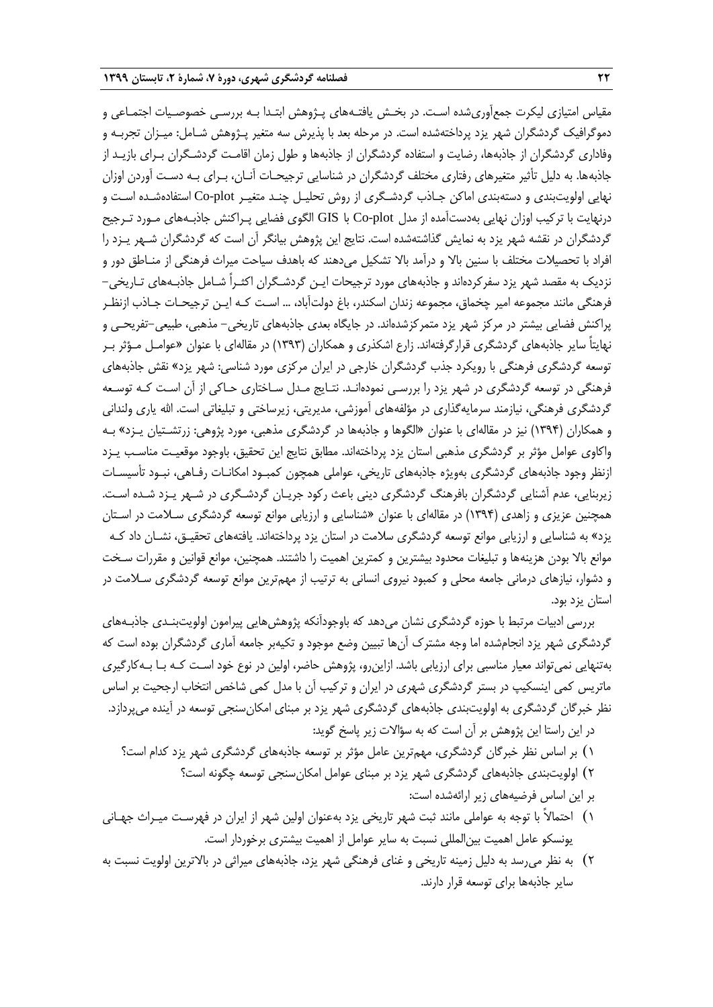مقیاس امتیازی لیکرت جمعآوریشده اسـت. در بخـش یافتـههای پـژوهش ابتـدا بـه بررسـی خصوصـیات اجتمـاعی و دموگرافیک گردشگران شهر یزد پرداختهشده است. در مرحله بعد با پذیرش سه متغیر پـژوهش شـامل: میـزان تجربـه و وفاداری گردشگران از جاذبهها، رضایت و استفاده گردشگران از جاذبهها و طول زمان اقامـت گردشـگران بـرای بازیـد از جاذبهها. به دلیل تأثیر متغیرهای رفتاری مختلف گردشگران در شناسایی ترجیحـات آنـان، بـرای بـه دسـت آوردن اوزان نهایی اولویتبندی و دستهبندی اماکن جـاذب گردشـگری از روش تحلیـل چنـد متغیـر plot-Co استفادهشـده اسـت و درنهایت با ترکیب اوزان نهایی بهدستآمده از مدل plot-Co با GIS الگوی فضایی پـراکنش جاذبـههای مـورد تـرجیح گردشگران در نقشه شهر یزد به نمایش گذاشتهشده است. نتایج این پژوهش بیانگر آن است که گردشگران شـهر یـزد را افراد با تحصیالت مختلف با سنین باال و درآمد باال تشکیل میدهند که باهدف سیاحت میراث فرهنگی از منـاطق دور و نزدیک به مقصد شهر یزد سفرکردهاند و جاذبههای مورد ترجیحات ایـن گردشـگران اکثـراً شـامل جاذبـههای تـاریخی- فرهنگی مانند مجموعه امیر چخماق، مجموعه زندان اسکندر، باغ دولتآباد، ... اسـت کـه ایـن ترجیحـات جـاذب ازنظـر پراکنش فضایی بیشتر در مرکز شهر یزد متمرکزشدهاند. در جایگاه بعدی جاذبههای تاریخی- مذهبی، طبیعی-تفریحـی و نهایتاً سایر جاذبههای گردشگری قرارگرفتهاند. زارع اشکذری و همکاران )1393( در مقالهای با عنوان »عوامـل مـؤثر بـر توسعه گردشگری فرهنگی با رویکرد جذب گردشگران خارجی در ایران مرکزی مورد شناسی: شهر یزد« نقش جاذبههای فرهنگی در توسعه گردشگری در شهر یزد را بررسـی نمودهانـد. نتـایج مـدل سـاختاری حـاکی از آن اسـت کـه توسـعه گردشگری فرهنگی، نیازمند سرمایهگذاری در مؤلفههای آموزشی، مدیریتی، زیرساختی و تبلیغاتی است. الله یاری ولندانی و همکاران )1394( نیز در مقالهای با عنوان »الگوها و جاذبهها در گردشگری مذهبی، مورد پژوهی: زرتشـتیان یـزد« بـه واکاوی عوامل مؤثر بر گردشگری مذهبی استان یزد پرداختهاند. مطابق نتایج این تحقیق، باوجود موقعیـت مناسـب یـزد ازنظر وجود جاذبههای گردشگری بهویژه جاذبههای تاریخی، عواملی همچون کمبـود امکانـات رفـاهی، نبـود تأسیسـات زیربنایی، عدم آشنایی گردشگران بافرهنگ گردشگری دینی باعث رکود جریـان گردشـگری در شـهر یـزد شـده اسـت. همچنین عزیزی و زاهدی )1394( در مقالهای با عنوان »شناسایی و ارزیابی موانع توسعه گردشگری سـالمت در اسـتان یزد« به شناسایی و ارزیابی موانع توسعه گردشگری سالمت در استان یزد پرداختهاند. یافتههای تحقیـق، نشـان داد کـه موانع باال بودن هزینهها و تبلیغات محدود بیشترین و کمترین اهمیت را داشتند. همچنین، موانع قوانین و مقررات سـخت و دشوار، نیازهای درمانی جامعه محلی و کمبود نیروی انسانی به ترتیب از مهمترین موانع توسعه گردشگری سـالمت در استان یزد بود.

بررسی ادبیات مرتبط با حوزه گردشگری نشان میدهد که باوجودآنکه پژوهشهایی پیرامون اولویتبنـدی جاذبـههای گردشگری شهر یزد انجامشده اما وجه مشترك آنها تبیین وضع موجود و تکیهبر جامعه آماری گردشگران بوده است که بهتنهایی نمیتواند معیار مناسبی برای ارزیابی باشد. ازاینرو، پژوهش حاضر، اولین در نوع خود اسـت کـه بـا بـهکارگیری ماتریس کمی اینسکیپ در بستر گردشگری شهری در ایران و ترکیب آن با مدل کمی شاخص انتخاب ارجحیت بر اساس نظر خبرگان گردشگری به اولویتبندی جاذبههای گردشگری شهر یزد بر مبنای امکانسنجی توسعه در آینده میپردازد. در این راستا این پژوهش بر آن است که به سؤاالت زیر پاسخ گوید:

- 1( بر اساس نظر خبرگان گردشگری، مهمترین عامل مؤثر بر توسعه جاذبههای گردشگری شهر یزد کدام است؟
	- 2( اولویتبندی جاذبههای گردشگری شهر یزد بر مبنای عوامل امکانسنجی توسعه چگونه است؟
		- بر این اساس فرضیههای زیر ارائهشده است:
- 1( احتماالً با توجه به عواملی مانند ثبت شهر تاریخی یزد بهعنوان اولین شهر از ایران در فهرسـت میـراث جهـانی یونسکو عامل اهمیت بینالمللی نسبت به سایر عوامل از اهمیت بیشتری برخوردار است.
- 2( به نظر میرسد به دلیل زمینه تاریخی و غنای فرهنگی شهر یزد، جاذبههای میراثی در باالترین اولویت نسبت به سایر جاذبهها برای توسعه قرار دارند.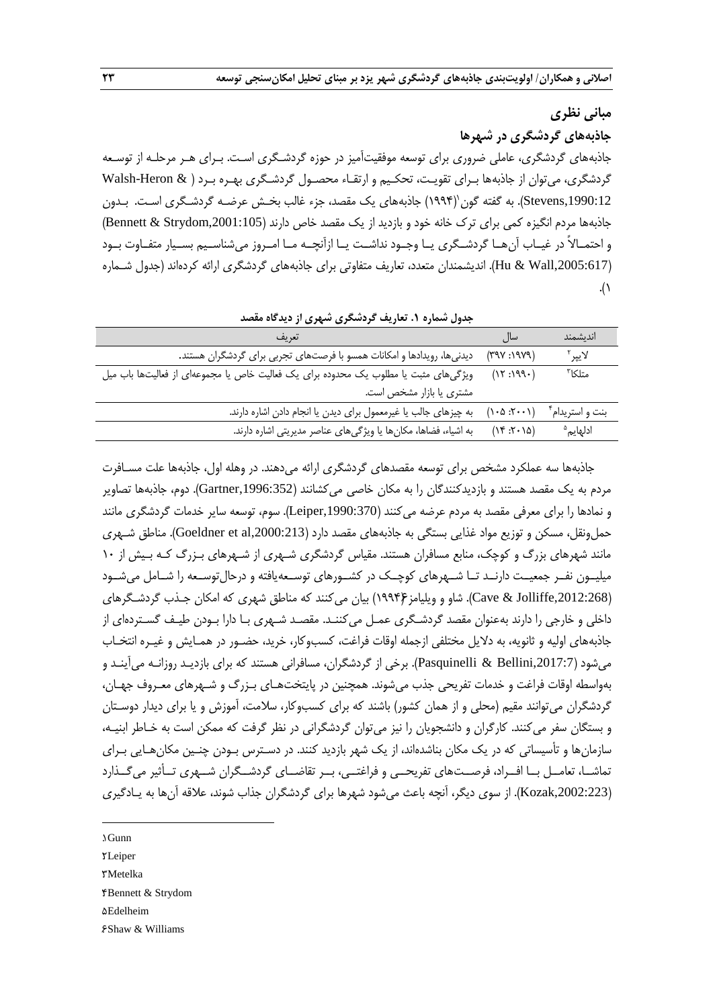#### **مبانی نظری**

**جاذبههای گردشگری در شهرها**

جاذبههای گردشگری، عاملی ضروری برای توسعه موفقیتآمیز در حوزه گردشـگری اسـت. بـرای هـر مرحلـه از توسـعه گردشگری، میتوان از جاذبهها بـرای تقویـت، تحکـیم و ارتقـاء محصـول گردشـگری بهـره بـرد ) & Heron-Walsh Stevens,1990:12). به گفته گون`(۱۹۹۴) جاذبههای یک مقصد، جزء غالب بخـش عرضـه گردشـگری اسـت. بـدون جاذبهها مردم انگیزه کمی برای ترک خانه خود و بازدید از یک مقصد خاص دارند (Bennett & Strydom,2001:105) و احتمــاالً در غیــاب آنهــا گردشــگری یــا وجــود نداشــت یــا ازآنچــه مــا امــروز میشناســیم بســیار متفــاوت بــود ),2005:617Wall & Hu). اندیشمندان متعدد، تعاریف متفاوتی برای جاذبههای گردشگری ارائه کردهاند )جدول شـماره .( $\setminus$ 

| تعریف                                                                               | سال                                                  | اندىشمند             |
|-------------------------------------------------------------------------------------|------------------------------------------------------|----------------------|
| دیدنیها، رویدادها و امکانات همسو با فرصتهای تجربی برای گردشگران هستند.              | (YYY:YYY)                                            | لايبر <sup>۲</sup>   |
| ویژگیهای مثبت یا مطلوب یک محدوده برای یک فعالیت خاص یا مجموعهای از فعالیتها باب میل | (15:199)                                             | متلكا″               |
| مشتری یا بازار مشخص است.                                                            |                                                      |                      |
| به چیزهای جالب یا غیرمعمول برای دیدن یا انجام دادن اشاره دارند.                     | $(1 \cdot \Delta \cdot \mathsf{Y} \cdot \mathsf{Y})$ | بنت و استریدام ٔ     |
| به اشیاء، فضاها، مکانها یا ویژگیهای عناصر مدیریتی اشاره دارند.                      | (14.7.7)                                             | ادلهایم <sup>۵</sup> |
|                                                                                     |                                                      |                      |

**جدول شماره .1 تعاریف گردشگری شهری از دیدگاه مقصد**

جاذبهها سه عملکرد مشخص برای توسعه مقصدهای گردشگری ارائه میدهند. در وهله اول، جاذبهها علت مسـافرت مردم به یک مقصد هستند و بازدیدکنندگان را به مکان خاصی میکشانند ),1996:352Gartner). دوم، جاذبهها تصاویر و نمادها را برای معرفی مقصد به مردم عرضه میکنند (Leiper,1990:370). سوم، توسعه سایر خدمات گردشگری مانند حمل ونقل، مسکن و توزیع مواد غذایی بستگی به جاذبههای مقصد دارد (Goeldner et al,2000:213). مناطق شـهری مانند شهرهای بزرگ و کوچک، منابع مسافران هستند. مقیاس گردشگری شـهری از شـهرهای بـزرگ کـه بـیش از 10 میلیــون نفــر جمعیــت دارنــد تــا شــهرهای کوچــک در کشــورهای توســعهیافته و درحالتوســعه را شــامل میشــود ),2012:268Jolliffe & Cave). شاو و ویلیامز6)1994( بیان میکنند که مناطق شهری که امکان جـذب گردشـگرهای داخلی و خارجی را دارند بهعنوان مقصد گردشـگری عمـل میکننـد. مقصـد شـهری بـا دارا بـودن طیـف گسـتردهای از جاذبههای اولیه و ثانویه، به دالیل مختلفی ازجمله اوقات فراغت، کسبوکار، خرید، حضـور در همـایش و غیـره انتخـاب میشود ),2017:7Bellini & Pasquinelli). برخی از گردشگران، مسافرانی هستند که برای بازدیـد روزانـه میآینـد و بهواسطه اوقات فراغت و خدمات تفریحی جذب میشوند. همچنین در پایتختهـای بـزرگ و شـهرهای معـروف جهـان، گردشگران می توانند مقیم (محلی و از همان کشور) باشند که برای کسبوکار، سلامت، آموزش و یا برای دیدار دوسـتان و بستگان سفر میکنند. کارگران و دانشجویان را نیز میتوان گردشگرانی در نظر گرفت که ممکن است به خـاطر ابنیـه، سازمانها و تأسیساتی که در یک مکان بناشدهاند، از یک شهر بازدید کنند. در دسـترس بـودن چنـین مکانهـایی بـرای تماشــا، تعامــل بــا افــراد، فرصــتهای تفریحــی و فراغتــی، بــر تقاضــای گردشــگران شــهری تــأثیر میگــذارد (Kozak,2002:223). از سوی دیگر، آنچه باعث میشود شهرها برای گردشگران جذاب شوند، علاقه آنها به یـادگیری

1. Gunn

1

2. Leiper

3. Metelka

4. Bennett & Strydom

**dEdelheim** 

6. Shaw & Williams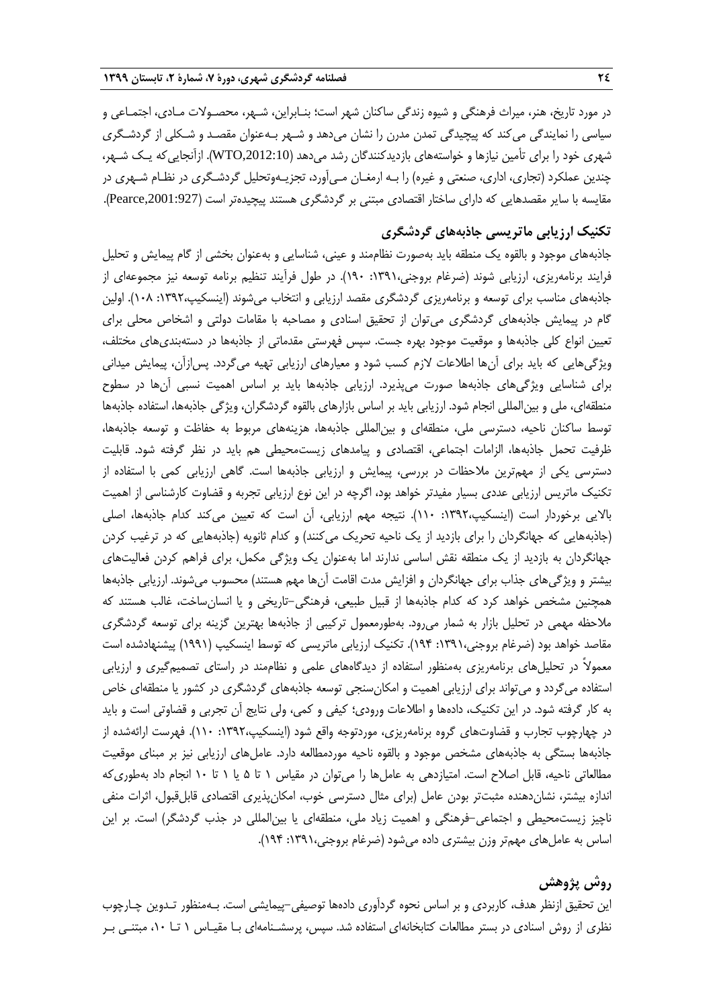در مورد تاریخ، هنر، میراث فرهنگی و شیوه زندگی ساکنان شهر است؛ بنـابراین، شـهر، محصـوالت مـادی، اجتمـاعی و سیاسی را نمایندگی میکند که پیچیدگی تمدن مدرن را نشان میدهد و شـهر بـهعنوان مقصـد و شـکلی از گردشـگری شهری خود را برای تأمین نیازها و خواستههای بازدیدکنندگان رشد میدهد ),2012:10WTO). ازآنجاییکه یـک شـهر، چندین عملکرد )تجاری، اداری، صنعتی و غیره( را بـه ارمغـان مـیآورد، تجزیـهوتحلیل گردشـگری در نظـام شـهری در مقایسه با سایر مقصدهایی که دارای ساختار اقتصادی مبتنی بر گردشگری هستند پیچیدهتر است ),2001:927Pearce).

# **تکنیک ارزیابی ماتریسی جاذبههای گردشگری**

جاذبههای موجود و بالقوه یک منطقه باید بهصورت نظاممند و عینی، شناسایی و بهعنوان بخشی از گام پیمایش و تحلیل فرایند برنامهریزی، ارزیابی شوند )ضرغام بروجنی:1391، 190(. در طول فرآیند تنظیم برنامه توسعه نیز مجموعهای از جاذبههای مناسب برای توسعه و برنامهریزی گردشگری مقصد ارزیابی و انتخاب میشوند )اینسکیپ:1392، 108(. اولین گام در پیمایش جاذبههای گردشگری میتوان از تحقیق اسنادی و مصاحبه با مقامات دولتی و اشخاص محلی برای تعیین انواع کلی جاذبهها و موقعیت موجود بهره جست. سپس فهرستی مقدماتی از جاذبهها در دستهبندیهای مختلف، ویژگیهایی که باید برای آنها اطالعات الزم کسب شود و معیارهای ارزیابی تهیه میگردد. پسازآن، پیمایش میدانی برای شناسایی ویژگیهای جاذبهها صورت میپذیرد. ارزیابی جاذبهها باید بر اساس اهمیت نسبی آنها در سطوح منطقهای، ملی و بینالمللی انجام شود. ارزیابی باید بر اساس بازارهای بالقوه گردشگران، ویژگی جاذبهها، استفاده جاذبهها توسط ساکنان ناحیه، دسترسی ملی، منطقهای و بینالمللی جاذبهها، هزینههای مربوط به حفاظت و توسعه جاذبهها، ظرفیت تحمل جاذبهها، الزامات اجتماعی، اقتصادی و پیامدهای زیستمحیطی هم باید در نظر گرفته شود. قابلیت دسترسی یکی از مهمترین مالحظات در بررسی، پیمایش و ارزیابی جاذبهها است. گاهی ارزیابی کمی با استفاده از تکنیک ماتریس ارزیابی عددی بسیار مفیدتر خواهد بود، اگرچه در این نوع ارزیابی تجربه و قضاوت کارشناسی از اهمیت باالیی برخوردار است )اینسکیپ:1392، 110(. نتیجه مهم ارزیابی، آن است که تعیین میکند کدام جاذبهها، اصلی )جاذبههایی که جهانگردان را برای بازدید از یک ناحیه تحریک میکنند( و کدام ثانویه )جاذبههایی که در ترغیب کردن جهانگردان به بازدید از یک منطقه نقش اساسی ندارند اما بهعنوان یک ویژگی مکمل، برای فراهم کردن فعالیتهای بیشتر و ویژگی،ای جذاب برای جهانگردان و افزایش مدت اقامت آنها مهم هستند) محسوب میشوند. ارزیابی جاذبهها همچنین مشخص خواهد کرد که کدام جاذبهها از قبیل طبیعی، فرهنگی-تاریخی و یا انسانساخت، غالب هستند که مالحظه مهمی در تحلیل بازار به شمار میرود. بهطورمعمول ترکیبی از جاذبهها بهترین گزینه برای توسعه گردشگری مقاصد خواهد بود (ضرغام بروجنی،۱۳۹۱، ۱۹۴). تکنیک ارزیابی ماتریسی که توسط اینسکیپ (۱۹۹۱) پیشنهادشده است معموالً در تحلیلهای برنامهریزی بهمنظور استفاده از دیدگاههای علمی و نظاممند در راستای تصمیمگیری و ارزیابی استفاده میگردد و میتواند برای ارزیابی اهمیت و امکانسنجی توسعه جاذبههای گردشگری در کشور یا منطقهای خاص به کار گرفته شود. در این تکنیک، دادهها و اطالعات ورودی؛ کیفی و کمی، ولی نتایج آن تجربی و قضاوتی است و باید در چهارچوب تجارب و قضاوتهای گروه برنامهریزی، موردتوجه واقع شود )اینسکیپ:1392، 110(. فهرست ارائهشده از جاذبهها بستگی به جاذبههای مشخص موجود و بالقوه ناحیه موردمطالعه دارد. عاملهای ارزیابی نیز بر مبنای موقعیت مطالعاتی ناحیه، قابل اصالح است. امتیازدهی به عاملها را میتوان در مقیاس 1 تا 5 یا 1 تا 10 انجام داد بهطوریکه اندازه بیشتر، نشاندهنده مثبتتر بودن عامل )برای مثال دسترسی خوب، امکانپذیری اقتصادی قابلقبول، اثرات منفی ناچیز زیستمحیطی و اجتماعی-فرهنگی و اهمیت زیاد ملی، منطقهای یا بینالمللی در جذب گردشگر( است. بر این اساس به عاملهای مهمتر وزن بیشتری داده میشود (ضرغام بروجنی،۱۳۹۱: ۱۹۴).

# **روش پژوهش**

این تحقیق ازنظر هدف، کاربردی و بر اساس نحوه گردآوری دادهها توصیفی-پیمایشی است. بـهمنظور تـدوین چـارچوب نظری از روش اسنادی در بستر مطالعات کتابخانهای استفاده شد. سپس، پرسشـنامهای بـا مقیـاس 1 تـا ،10 مبتنـی بـر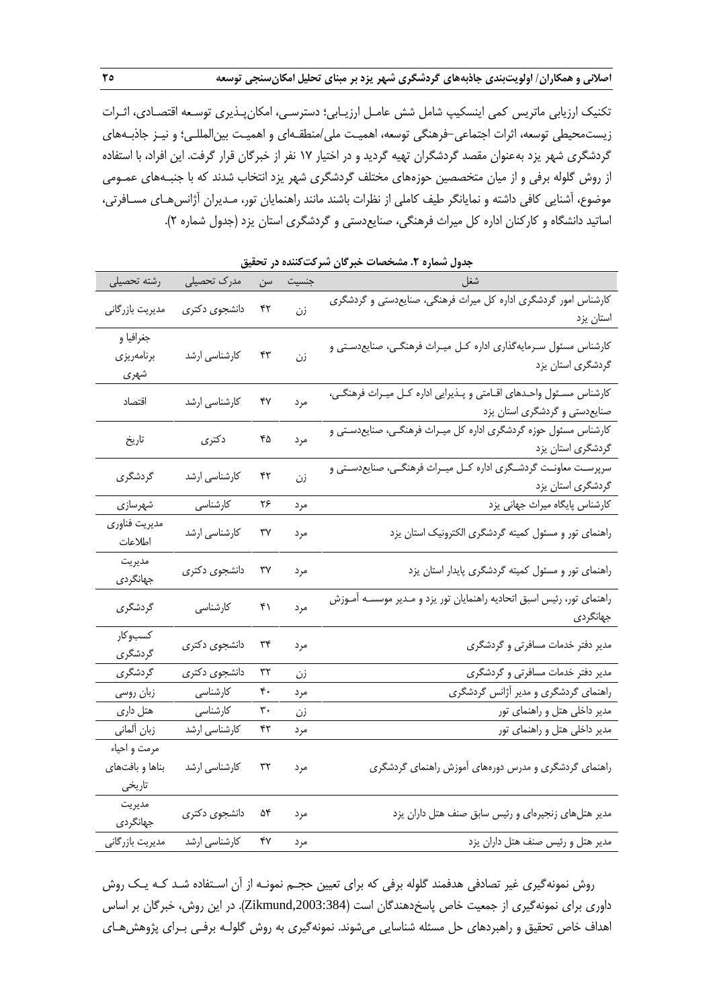تکنیک ارزیابی ماتریس کمی اینسکیپ شامل شش عامـل ارزیـابی؛ دسترسـی، امکانپـذیری توسـعه اقتصـادی، اثـرات زیستمحیطی توسعه، اثرات اجتماعی-فرهنگی توسعه، اهمیـت ملی/منطقـهای و اهمیـت بینالمللـی؛ و نیـز جاذبـههای گردشگری شهر یزد بهعنوان مقصد گردشگران تهیه گردید و در اختیار 17 نفر از خبرگان قرار گرفت. این افراد، با استفاده از روش گلوله برفی و از میان متخصصین حوزههای مختلف گردشگری شهر یزد انتخاب شدند که با جنبـههای عمـومی موضوع، آشنایی کافی داشته و نمایانگر طیف کاملی از نظرات باشند مانند راهنمایان تور، مـدیران آژانسهـای مسـافرتی، اساتید دانشگاه و کارکنان اداره کل میراث فرهنگی، صنایعدستی و گردشگری استان یزد )جدول شماره 2(.

|                 |               |     |       | .ر ب                                                                   |
|-----------------|---------------|-----|-------|------------------------------------------------------------------------|
| رشته تحصيلى     | مدرک تحصیلی   | سن  | جنسيت | شغل                                                                    |
|                 |               | ۴۲  |       | کارشناس امور گردشگری اداره کل میراث فرهنگی، صنایعدستی و گردشگری        |
| مديريت بازرگاني | دانشجوى دكترى |     | زن    | استان يزد                                                              |
| جغرافيا و       |               |     |       |                                                                        |
| برنامەريزى      | کارشناسی ارشد | ۴٣  | زن    | کارشناس مسئول سـرمایهگذاری اداره کـل میـراث فرهنگـی، صنایعدسـتی و      |
| شهری            |               |     |       | گردشگری استان یزد                                                      |
| اقتصاد          |               | ۴٧  |       | کارشناس مسـئول واحـدهاى اقـامتى و پـذيرايى اداره كـل ميـراث فرهنگـى،   |
|                 | كارشناسى ارشد |     | مرد   | صنایعدستی و گردشگری استان یزد                                          |
|                 |               |     |       | کارشناس مسئول حوزه گردشگری اداره کل میـراث فرهنگـی، صنایعدسـتی و       |
| تاريخ           | دكترى         | ۴۵  | مرد   | گردشگری استان یزد                                                      |
|                 |               |     |       | سرپرسـت معاونـت گردشـگرى اداره كــل ميــراث فرهنگــى، صنايعدســتى و    |
| گردشگری         | کارشناسی ارشد | ۴۲  | زن    | گردشگری استان یزد                                                      |
| شهرسازي         | كارشناسى      | ۲۶  | مرد   | كارشناس پايگاه ميراث جهانى يزد                                         |
| مديريت فناوري   |               |     |       |                                                                        |
| اطلاعات         | کارشناسی ارشد | ٣٧  | مرد   | راهنمای تور و مسئول کمیته گردشگری الکترونیک استان یزد                  |
| مديريت          |               |     |       |                                                                        |
| جهانگردی        | دانشجوی دکتری | ٣٧  | مرد   | راهنمای تور و مسئول کمیته گردشگری پایدار استان یزد                     |
|                 |               | ۴۱  |       | راهنمای تور، رئیس اسبق اتحادیه راهنمایان تور یزد و مـدیر موسسـه آمـوزش |
| گردشگری         | كارشناسى      | مرد |       | جهانگردی                                                               |
| كسبوكار         |               |     |       |                                                                        |
| گردشگری         | دانشجوی دکتری | ٣۴  | مرد   | مدیر دفتر خدمات مسافرتی و گردشگری                                      |
| گردشگری         | دانشجوى دكترى | ٣٢  | زن    | مدیر دفتر خدمات مسافرتی و گردشگری                                      |
| زبان روسي       | كارشناسى      | ۴۰  | مرد   | راهنمای گردشگری و مدیر آژانس گردشگری                                   |
| هتل داری        | كارشناسى      | ٣٠  | زن    | مدیر داخلی هتل و راهنمای تور                                           |
| زبان ألماني     | کارشناسی ارشد | ۴۲  | مرد   | مدیر داخلی هتل و راهنمای تور                                           |
| مرمت و احیاء    |               |     |       |                                                                        |
| بناها و بافتهاى | كارشناسى ارشد | ٣٢  | مرد   | راهنمای گردشگری و مدرس دورههای آموزش راهنمای گردشگری                   |
| تاريخي          |               |     |       |                                                                        |
| مديريت          |               | ۵۴  |       |                                                                        |
| جهانگردى        | دانشجوی دکتری |     | مرد   | مدیر هتلهای زنجیرهای و رئیس سابق صنف هتل داران یزد                     |
| مديريت بازرگاني | كارشناسي ارشد | ۴۷  | مرد   | مدیر هتل و رئیس صنف هتل داران یزد                                      |

**جدول شماره .2 مشخصات خبرگان شرکتکننده در تحقیق**

روش نمونهگیری غیر تصادفی هدفمند گلوله برفی که برای تعیین حجـم نمونـه از آن اسـتفاده شـد کـه یـک روش داوری برای نمونهگیری از جمعیت خاص پاسخدهندگان است (Zikmund,2003:384). در این روش، خبرگان بر اساس اهداف خاص تحقیق و راهبردهای حل مسئله شناسایی میشوند. نمونهگیری به روش گلولـه برفـی بـرای پژوهشهـای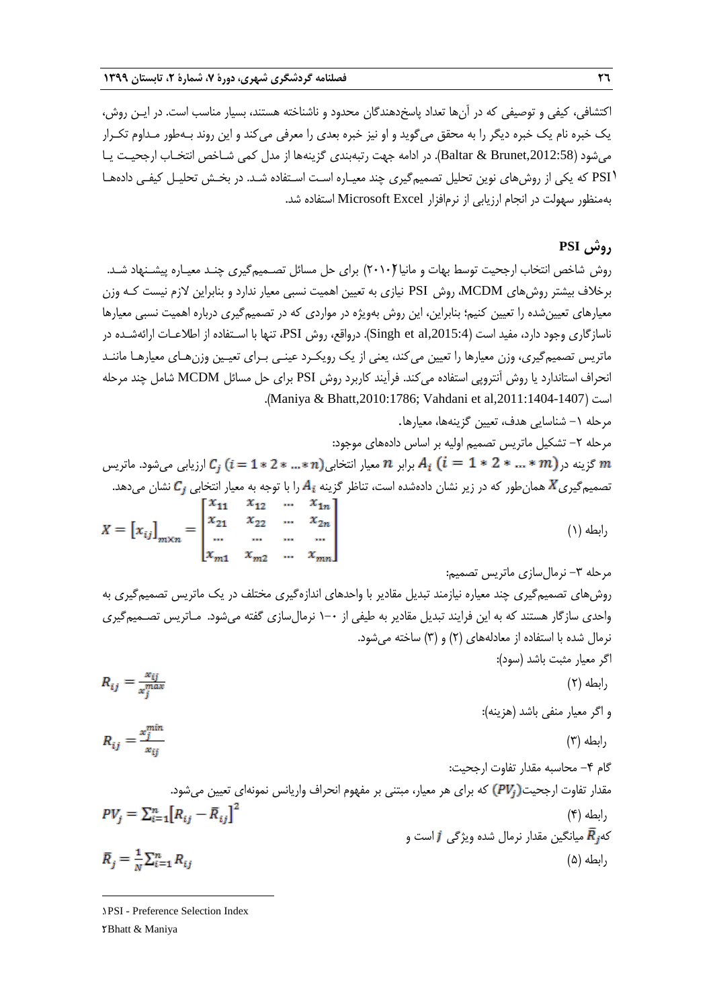اکتشافی، کیفی و توصیفی که در آنها تعداد پاسخدهندگان محدود و ناشناخته هستند، بسیار مناسب است. در ایـن روش، یک خبره نام یک خبره دیگر را به محقق میگوید و او نیز خبره بعدی را معرفی میکند و این روند بـهطور مـداوم تکـرار میشود ),2012:58Brunet & Baltar). در ادامه جهت رتبهبندی گزینهها از مدل کمی شـاخص انتخـاب ارجحیـت یـا 1PSI که یکی از روشهای نوین تحلیل تصمیمگیری چند معیـاره اسـت اسـتفاده شـد. در بخـش تحلیـل کیفـی دادههـا بهمنظور سهولت در انجام ارزیابی از نرمافزار Excel Microsoft استفاده شد.

### **روش PSI**

روش شاخص انتخاب ارجحیت توسط بهات و مانیا (۲۰۱۰) برای حل مسائل تصـمیمگیری چنـد معیـاره پیشـنهاد شـد. برخالف بیشتر روشهای MCDM، روش PSI نیازی به تعیین اهمیت نسبی معیار ندارد و بنابراین الزم نیست کـه وزن معیارهای تعیینشده را تعیین کنیم؛ بنابراین، این روش بهویژه در مواردی که در تصمیمگیری درباره اهمیت نسبی معیارها ناسازگاری وجود دارد، مفید است ),2015:4al et Singh). درواقع، روش PSI، تنها با اسـتفاده از اطالعـات ارائهشـده در ماتریس تصمیمگیری، وزن معیارها را تعیین میکند، یعنی از یک رویکـرد عینـی بـرای تعیـین وزنهـای معیارهـا ماننـد انحراف استاندارد یا روش آنتروپی استفاده میکند. فرآیند کاربرد روش PSI برای حل مسائل MCDM شامل چند مرحله .)Maniya & Bhatt,2010:1786; Vahdani et al,2011:1404-1407( است

مرحله -1 شناسایی هدف، تعیین گزینهها، معیارها.

مرحله ٢- تشکیل ماتریس تصمیم اولیه بر اساس دادههای موجود: گزینه در $\ell_i$  \* … \*  $2$  \*  $1$  \*  $\ell_i$  برابر  $n$  معیار انتخابی $(n$  \*… \*  $n$   $\ell_j$  ارزیابی میشود. ماتریس  $m$ تصمیمگیری $K$  همانطور که در زیر نشان دادهشده است، تناظر گزینه  $A_i$  را با توجه به معیار انتخابی  $\mathcal{C}_j$  نشان میدهد.<br>[ $x_{11}$   $x_{12}$   $\cdots$   $x_{1n}$ ]

$$
X = [x_{ij}]_{m \times n} = \begin{bmatrix} x_{11} & x_{12} & \dots & x_{1n} \\ x_{21} & x_{22} & \dots & x_{2n} \\ \dots & \dots & \dots & \dots \\ x_{m1} & x_{m2} & \dots & x_{mn} \end{bmatrix}
$$
 (1)

روشهای تصمیمگیری چند معیاره نیازمند تبدیل مقادیر با واحدهای اندازهگیری مختلف در یک ماتریس تصمیمگیری به واحدی سازگار هستند که به این فرایند تبدیل مقادیر به طیفی از 1-0 نرمالسازی گفته میشود. مـاتریس تصـمیمگیری نرمال شده با استفاده از معادلههای (۲) و (۳) ساخته می شود.

$$
R_{ij} = \frac{x_{ij}}{x_j^{max}}
$$
\n
$$
R_{ij} = \frac{x_j^{min}}{x_{ij}}
$$
\n
$$
R_{ij} = \frac{x_j^{min}}{x_{ij}}
$$
\n
$$
P_{ij} = \sum_{i=1}^{n} [R_{ij} - \bar{R}_{ij}]^{2}
$$
\n
$$
P_{ij} = \sum_{i=1}^{n} [R_{ij} - \bar{R}_{ij}]^{2}
$$
\n
$$
P_{ij} = \sum_{i=1}^{n} [R_{ij} - \bar{R}_{ij}]^{2}
$$
\n
$$
P_{ij} = \sum_{i=1}^{n} [R_{ij} - \bar{R}_{ij}]^{2}
$$
\n
$$
P_{ij} = \frac{1}{n} \sum_{i=1}^{n} [R_{ij} - \bar{R}_{ij}]^{2}
$$
\n
$$
P_{ij} = \frac{1}{n} \sum_{i=1}^{n} [R_{ij} - \bar{R}_{ij}]^{2}
$$
\n
$$
P_{ij} = \frac{1}{n} \sum_{i=1}^{n} R_{ij}
$$
\n
$$
P_{ij} = \frac{1}{n} \sum_{i=1}^{n} R_{ij}
$$
\n
$$
P_{ij} = \frac{1}{n} \sum_{i=1}^{n} R_{ij}
$$
\n
$$
P_{ij} = \frac{1}{n} \sum_{i=1}^{n} R_{ij}
$$
\n
$$
P_{ij} = \frac{1}{n} \sum_{i=1}^{n} R_{ij}
$$

**.** 

<sup>1</sup>. PSI - Preference Selection Index

<sup>2</sup>. Bhatt & Maniya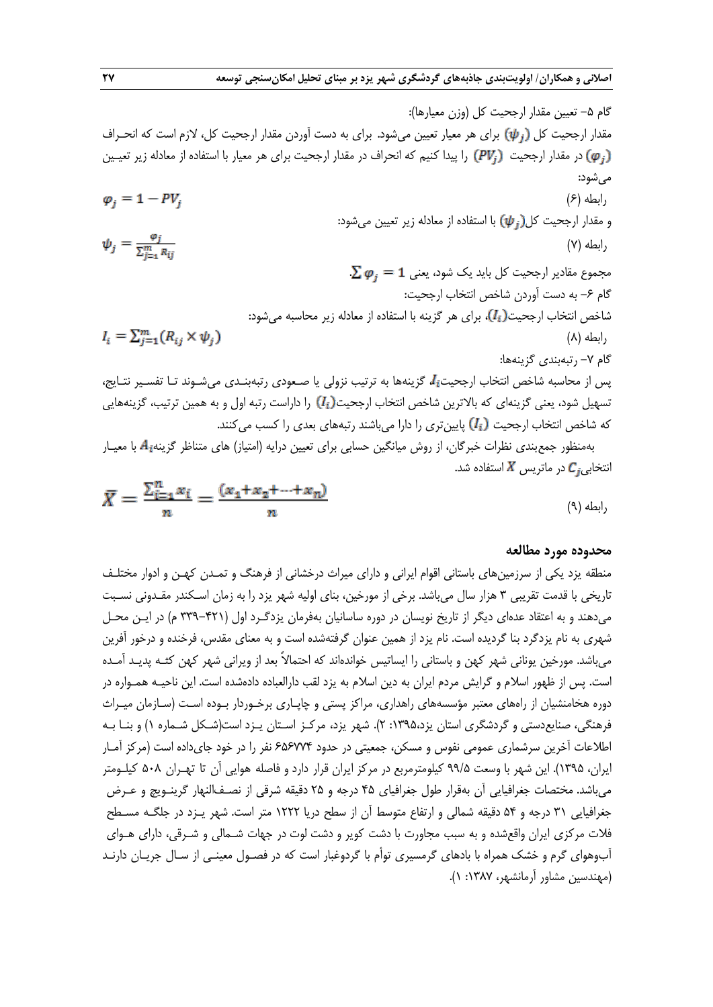گام ۵– تعیین مقدار ارجیت کل (وزن معبارها):  
فام ارجحیت کل (ر<sup>7</sup>4) برای هر معیار تعیین میشود. برای به دست آوردن مقدار ارجحیت کل، لازم است مادیزیز تعیین  
میشود:  
\n(*ρ*) و مقدار ارجحیت (γ4) با استفاده از مادله زیر تعیین میشود:  
\n(بطه (7)  
\وامطه (7)  
\میموم عقلار ارجحیت کل باید یک شود، یمن میشود:  
\n(بطه (۲)  
\n5-7- و به دست آوردن شاخص انتغاب ارجحیت:)، برای هر گزینه با استفاده از معالده نیر محاسبه میشود:  
\n1<sub>i</sub> = 
$$
\sum_{j=1}^{m} R_{ij}
$$
  
\n2<sub>α</sub> 9 - و به دست آوردن شاخص انتغاده از معالاه زیر محاسبه میشود:  
\n1<sub>i</sub> =  $\sum_{j=1}^{m} (R_{ij} × ψ_j)$   
\n2<sub>ا</sub>م 9- ویشیش از محاستیه یا، ییتی دیب نزولی یا صعادی رتبه بندی میشوند تا تقسیر نتایج،  
\n3<sub>ام</sub> 7- تبفبنی گزینههای  
\n3<sub>م</sub>ان میس از ماحسبه شاخص انتخاب ارجحیت<sub>ئ</sub>ا، گزینههای میشوند  
\n3<sub>م</sub>شین میشوند  
\n3<sub>م</sub>ش نفیی تزینهای کازینهها:  
\n3<sub>i</sub> 2 مترش میتی ترینهای کایدات میشوند شخص انتخاب ارجیت(،<sub>i</sub>) و ادراست رتبه ییاتنید، میشوند تا تفسیر نتیبی، گزینههایی  
\n4<sub>م</sub> سیلیر  
\n3<sub>م</sub>شیشود:  
\n3<sub>م</sub> میشود:  
\n3<sub>م</sub>ید نظادی در میت کازینهای

$$
\bar{X} = \frac{\sum_{i=1}^{n} x_i}{n} = \frac{(x_1 + x_2 + \dots + x_n)}{n}
$$
\n<sup>(9)</sup>

#### **محدوده مورد مطالعه**

منطقه یزد یکی از سرزمینهای باستانی اقوام ایرانی و دارای میراث درخشانی از فرهنگ و تمـدن کهـن و ادوار مختلـف تاریخی با قدمت تقریبی 3 هزار سال میباشد. برخی از مورخین، بنای اولیه شهر یزد را به زمان اسـکندر مقـدونی نسـبت میدهند و به اعتقاد عدهای دیگر از تاریخ نویسان در دوره ساسانیان بهفرمان یزدگـرد اول )339-421 م( در ایـن محـل شهری به نام یزدگرد بنا گردیده است. نام یزد از همین عنوان گرفتهشده است و به معنای مقدس، فرخنده و درخور آفرین میباشد. مورخین یونانی شهر کهن و باستانی را ایساتیس خواندهاند که احتماالً بعد از ویرانی شهر کهن کثـه پدیـد آمـده است. پس از ظهور اسالم و گرایش مردم ایران به دین اسالم به یزد لقب دارالعباده دادهشده است. این ناحیـه همـواره در دوره هخامنشیان از راههای معتبر مؤسسههای راهداری، مراکز پستی و چاپـاری برخـوردار بـوده اسـت )سـازمان میـراث فرهنگی، صنایع دستی و گردشگری استان یزد،۱۳۹۵: ۲). شهر یزد، مرکـز اسـتان یـزد است(شـکل شـماره ۱) و بنـا بـه اطالعات آخرین سرشماری عمومی نفوس و مسکن، جمعیتی در حدود 656774 نفر را در خود جایداده است )مرکز آمـار ایران، 1395(. این شهر با وسعت 99/5 کیلومترمربع در مرکز ایران قرار دارد و فاصله هوایی آن تا تهـران 508 کیلـومتر میباشد. مختصات جغرافیایی آن بهقرار طول جغرافیای 45 درجه و 25 دقیقه شرقی از نصـفالنهار گرینـویچ و عـرض جغرافیایی ۳۱ درجه و ۵۴ دقیقه شمالی و ارتفاع متوسط آن از سطح دریا ۱۲۲۲ متر است. شهر یـزد در جلگـه مسـطح فالت مرکزی ایران واقعشده و به سبب مجاورت با دشت کویر و دشت لوت در جهات شـمالی و شـرقی، دارای هـوای آبوهوای گرم و خشک همراه با بادهای گرمسیری توأم با گردوغبار است که در فصـول معینـی از سـال جریـان دارنـد )مهندسین مشاور آرمانشهر، :1387 1(.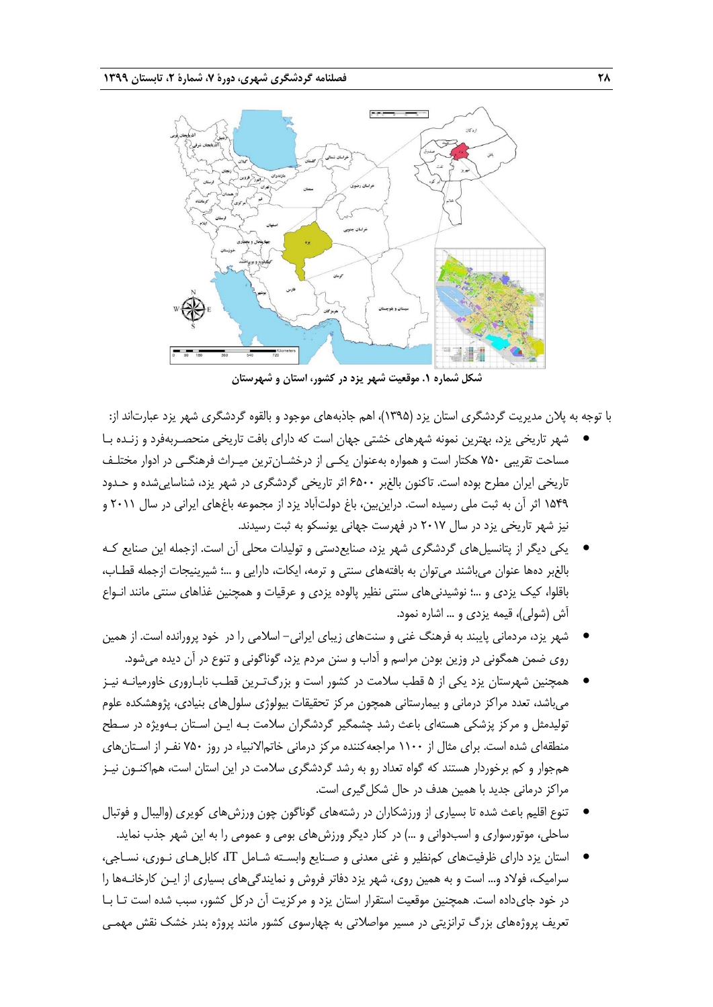

**شکل شماره .1 موقعیت شهر یزد در کشور، استان و شهرستان**

با توجه به پالن مدیریت گردشگری استان یزد )1395(، اهم جاذبههای موجود و بالقوه گردشگری شهر یزد عبارتاند از:

- شهر تاریخی یزد، بهترین نمونه شهرهای خشتی جهان است که دارای بافت تاریخی منحصـربهفرد و زنـده بـا مساحت تقریبی 750 هکتار است و همواره بهعنوان یکـی از درخشـانترین میـراث فرهنگـی در ادوار مختلـف تاریخی ایران مطرح بوده است. تاکنون بالغبر 6500 اثر تاریخی گردشگری در شهر یزد، شناساییشده و حـدود 1549 اثر آن به ثبت ملی رسیده است. دراینبین، باغ دولتآباد یزد از مجموعه باغهای ایرانی در سال 2011 و نیز شهر تاریخی یزد در سال 2017 در فهرست جهانی یونسکو به ثبت رسیدند.
- یکی دیگر از پتانسیلهای گردشگری شهر یزد، صنایعدستی و تولیدات محلی آن است. ازجمله این صنایع کـه بالغبر دهها عنوان میباشند میتوان به بافتههای سنتی و ترمه، ایکات، دارایی و ...؛ شیرینیجات ازجمله قطـاب، باقلوا، کیک یزدی و ...؛ نوشیدنیهای سنتی نظیر پالوده یزدی و عرقیات و همچنین غذاهای سنتی مانند انـواع آش (شولی)، قیمه یزدی و … اشاره نمود.
- شهر یزد، مردمانی پایبند به فرهنگ غنی و سنتهای زیبای ایرانی- اسالمی را در خود پرورانده است. از همین روی ضمن همگونی در وزین بودن مراسم و آداب و سنن مردم یزد، گوناگونی و تنوع در آن دیده میشود.
- همچنین شهرستان یزد یکی از 5 قطب سالمت در کشور است و بزرگتـرین قطـب نابـاروری خاورمیانـه نیـز میباشد، تعدد مراکز درمانی و بیمارستانی همچون مرکز تحقیقات بیولوژی سلولهای بنیادی، پژوهشکده علوم تولیدمثل و مرکز پزشکی هستهای باعث رشد چشمگیر گردشگران سلامت بـه ایـن اسـتان بـهویژه در سـطح منطقهای شده است. برای مثال از 1100 مراجعهکننده مرکز درمانی خاتماالنبیاء در روز 750 نفـر از اسـتانهای همجوار و کم برخوردار هستند که گواه تعداد رو به رشد گردشگری سالمت در این استان است، هماکنـون نیـز مراکز درمانی جدید با همین هدف در حال شکلگیری است.
- تنوع اقلیم باعث شده تا بسیاری از ورزشکاران در رشتههای گوناگون چون ورزشهای کویری (والیبال و فوتبال ساحلی، موتورسواری و اسبدوانی و ...( در کنار دیگر ورزشهای بومی و عمومی را به این شهر جذب نماید.
- استان یزد دارای ظرفیتهای کمنظیر و غنی معدنی و صـنایع وابسـته شـامل IT، کابلهـای نـوری، نسـاجی، سرامیک، فوالد و... است و به همین روی، شهر یزد دفاتر فروش و نمایندگیهای بسیاری از ایـن کارخانـهها را در خود جایداده است. همچنین موقعیت استقرار استان یزد و مرکزیت آن درکل کشور، سبب شده است تـا بـا تعریف پروژههای بزرگ ترانزیتی در مسیر مواصالتی به چهارسوی کشور مانند پروژه بندر خشک نقش مهمـی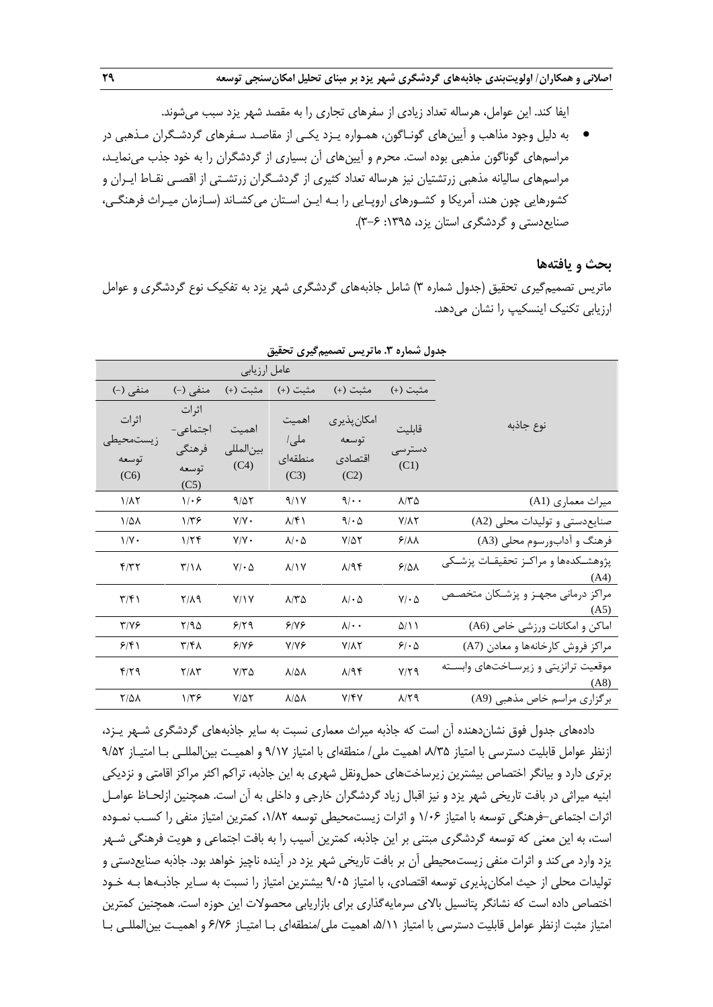ایفا کند. این عوامل، هرساله تعداد زیادی از سفرهای تجاری را به مقصد شهر یزد سبب میشوند.

 به دلیل وجود مذاهب و آیینهای گونـاگون، همـواره یـزد یکـی از مقاصـد سـفرهای گردشـگران مـذهبی در مراسمهای گوناگون مذهبی بوده است. محرم و آیینهای آن بسیاری از گردشگران را به خود جذب مینمایـد، مراسمهای سالیانه مذهبی زرتشتیان نیز هرساله تعداد کثیری از گردشـگران زرتشـتی از اقصـی نقـاط ایـران و کشورهایی چون هند، آمریکا و کشـورهای اروپـایی را بـه ایـن اسـتان میکشـاند )سـازمان میـراث فرهنگـی، صنایعدستی و گردشگری استان یزد، :1395 3-6(.

#### **بحث و یافتهها**

ماتریس تصمیمگیری تحقیق )جدول شماره 3( شامل جاذبههای گردشگری شهر یزد به تفکیک نوع گردشگری و عوامل ارزیابی تکنیک اینسکیپ را نشان میدهد.

|                             |                           | عامل ارزيابي       |                         |                          |                       |                                                  |
|-----------------------------|---------------------------|--------------------|-------------------------|--------------------------|-----------------------|--------------------------------------------------|
| منفی (-)                    | منفی (-)                  | مثبت (+)           | مثبت (+)                | مثبت (+)                 | مثبت (+)              |                                                  |
| اثرات                       | اثرات<br>اجتماعی-         | اهميت              | اهميت                   | امكان پذيرى              | قابليت                | نوع جاذبه                                        |
| ز يستمحيطي<br>توسعه<br>(C6) | فرهنگي<br>توسعه<br>(C5)   | بين المللي<br>(C4) | ملي/<br>منطقهاى<br>(C3) | توسعه<br>اقتصادى<br>(C2) | دسترسى<br>(C1)        |                                                  |
| $1/\lambda$ ٢               | 1.9                       | 9/27               | 9/1V                    | 9/4                      | $\lambda$ /٣ $\Delta$ | میراث معماری (A1)                                |
| $1/\Delta\lambda$           | $1/\tau$ ۶                | $Y/Y$ .            | $\lambda/\mathfrak{F}$  | 9/6                      | $Y/\lambda Y$         | صنایع دستی و تولیدات محلی (A2)                   |
| $1/Y$ .                     | 1/5                       | $Y/Y$ .            | $\lambda/\cdot \Delta$  | $Y/\Delta Y$             | 9/11                  | فرهنگ و آدابورسوم محلي (A3)                      |
| f/T                         | $\mathcal{L}/\mathcal{L}$ | $V/\cdot \Delta$   | $\lambda/\lambda$       | $\lambda$ /94            | 9/41                  | يژوهشــكدەها و مراكــز تحقيقــات يزشــكى<br>(A4) |
| $\frac{1}{2}$               | $Y/\lambda$ 9             | Y/Y                | $\lambda$ /٣ $\Delta$   | $\lambda/\cdot \Delta$   | $Y/\cdot \Delta$      | مراکز درمانی مجهـز و پزشـکان متخصـص<br>(A5)      |
| $Y/Y$ ۶                     | Y/90                      | 9/79               | 918                     | $\lambda/\cdot$ .        | $\Delta/\Lambda$      | اماکن و امکانات ورزشی خاص (A6)                   |
| 9/51                        | ۳/۴۸                      | 9/19               | $Y/Y$ ۶                 | $Y/\lambda Y$            | 51.0                  | مراكز فروش كارخانهها و معادن (A7)                |
| $f/\zeta$                   | $Y/\Lambda Y$             | $Y/Y\Delta$        | $\lambda/\Delta\lambda$ | $\lambda$ /94            | $Y/Y$ ۹               | موقعیت ترانزیتی و زیرسـاختهای وابسـته<br>(AB)    |
| $Y/\Delta\lambda$           | ۱/۳۶                      | $Y/\Delta Y$       | $\lambda/\Delta\lambda$ | $Y/\sqrt{Y}$             | $\lambda$ /٢٩         | برگزاری مراسم خاص مذهبی (A9)                     |

**جدول شماره .3 ماتریس تصمیمگیری تحقیق**

دادههای جدول فوق نشاندهنده آن است که جاذبه میراث معماری نسبت به سایر جاذبههای گردشگری شـهر یـزد، ازنظر عوامل قابلیت دسترسی با امتیاز ۸/۳۵، اهمیت ملی/ منطقهای با امتیاز ۹/۱۷ و اهمیـت بین|لمللـی بـا امتیـاز ۹/۵۲ برتری دارد و بیانگر اختصاص بیشترین زیرساختهای حملونقل شهری به این جاذبه، تراکم اکثر مراکز اقامتی و نزدیکی ابنیه میراثی در بافت تاریخی شهر یزد و نیز اقبال زیاد گردشگران خارجی و داخلی به آن است. همچنین ازلحـاظ عوامـل اثرات اجتماعی-فرهنگی توسعه با امتیاز 1/06 و اثرات زیستمحیطی توسعه ،1/82 کمترین امتیاز منفی را کسـب نمـوده است، به این معنی که توسعه گردشگری مبتنی بر این جاذبه، کمترین آسیب را به بافت اجتماعی و هویت فرهنگی شـهر یزد وارد میکند و اثرات منفی زیستمحیطی آن بر بافت تاریخی شهر یزد در آینده ناچیز خواهد بود. جاذبه صنایعدستی و تولیدات محلی از حیث امکانپذیری توسعه اقتصادی، با امتیاز ۹/۰۵ بیشترین امتیاز را نسبت به سـایر جاذبـهها بـه خـود اختصاص داده است که نشانگر پتانسیل باالی سرمایهگذاری برای بازاریابی محصوالت این حوزه است. همچنین کمترین امتیاز مثبت ازنظر عوامل قابلیت دسترسی با امتیاز ،5/11 اهمیت ملی/منطقهای بـا امتیـاز 6/76 و اهمیـت بینالمللـی بـا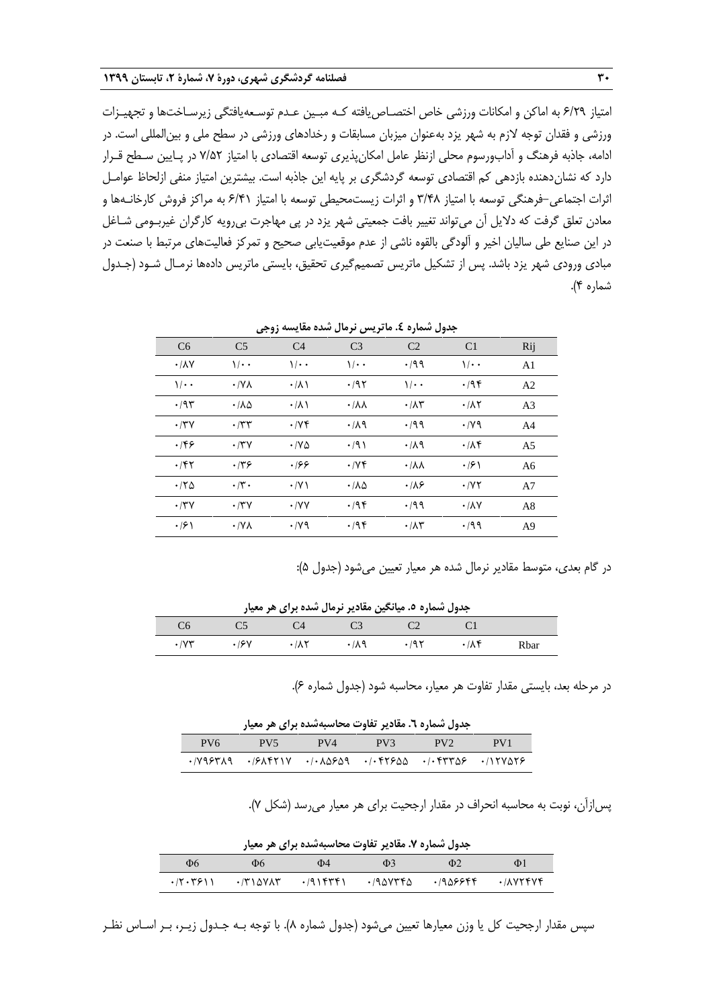امتیاز 6/29 به اماکن و امکانات ورزشی خاص اختصـاصیافته کـه مبـین عـدم توسـعهیافتگی زیرسـاختها و تجهیـزات ورزشی و فقدان توجه الزم به شهر یزد بهعنوان میزبان مسابقات و رخدادهای ورزشی در سطح ملی و بینالمللی است. در ادامه، جاذبه فرهنگ و آدابورسوم محلی ازنظر عامل امکانپذیری توسعه اقتصادی با امتیاز 7/52 در پـایین سـطح قـرار دارد که نشاندهنده بازدهی کم اقتصادی توسعه گردشگری بر پایه این جاذبه است. بیشترین امتیاز منفی ازلحاظ عوامـل اثرات اجتماعی-فرهنگی توسعه با امتیاز 3/48 و اثرات زیستمحیطی توسعه با امتیاز 6/41 به مراکز فروش کارخانـهها و معادن تعلق گرفت که دالیل آن میتواند تغییر بافت جمعیتی شهر یزد در پی مهاجرت بیرویه کارگران غیربـومی شـاغل در این صنایع طی سالیان اخیر و آلودگی بالقوه ناشی از عدم موقعیتیابی صحیح و تمرکز فعالیتهای مرتبط با صنعت در مبادی ورودی شهر یزد باشد. پس از تشکیل ماتریس تصمیمگیری تحقیق، بایستی ماتریس دادهها نرمـال شـود )جـدول شماره 4(.

| C <sub>6</sub>             | C <sub>5</sub>      | C <sub>4</sub>  | C <sub>3</sub>               | C <sub>2</sub>             | C <sub>1</sub>             | Rij            |
|----------------------------|---------------------|-----------------|------------------------------|----------------------------|----------------------------|----------------|
| $\cdot$ / $\lambda$ $\vee$ | $1/\cdot$           | $1/\cdot$       | $1/\cdot$                    | .199                       | $\sqrt{\cdot \cdot \cdot}$ | A <sub>1</sub> |
| $1/\cdot$                  | $\cdot$ /Y $\wedge$ | $\cdot/\lambda$ | $\cdot$ /9٢                  | $\sqrt{\cdot \cdot \cdot}$ | .795                       | A <sub>2</sub> |
| .795                       | ۰/۸۵                | $\cdot/\lambda$ | $\cdot/\lambda\lambda$       | $\cdot/\lambda\tau$        | $\cdot$ / $\wedge$ $\vee$  | A <sub>3</sub> |
| $\cdot$ /۳ $\vee$          | $\cdot$ /٣٣         | $\cdot$ /yf     | .71                          | .199                       | $\cdot$ /yq                | A <sup>4</sup> |
| ۱۴۶                        | $\cdot$ /۳ $\vee$   | $\cdot$ /YA     | .791                         | .119                       | $\cdot$ / $\lambda$ ۴      | A <sub>5</sub> |
| ۰۱۴۲                       | ۰۱۳۶                | .166            | $\cdot$ /yf                  | $\cdot/\lambda\lambda$     | $\cdot$ /2)                | A <sub>6</sub> |
| .180                       | $\cdot$ /۳ $\cdot$  | $\cdot$ /Y)     | $\cdot$ / $\Lambda$ $\Delta$ | $\cdot$ /18                | $\cdot$ /YY                | A <sub>7</sub> |
| $\cdot$ /۳ $\vee$          | $\cdot$ /۳ $\vee$   | $\cdot$ /YY     | .795                         | .199                       | $\cdot$ / $\lambda$ $\vee$ | A8             |
| $\cdot$ /۶ \               | $\cdot$ /Y $\wedge$ | $\cdot$ /yq     | .795                         | $\cdot/\lambda\tau$        | $\cdot$ /99                | A <sup>9</sup> |

**جدول شماره .4 ماتریس نرمال شده مقایسه زوجی**

در گام بعدی، متوسط مقادیر نرمال شده هر معیار تعیین میشود (جدول ۵):

**جدول شماره .5 میانگین مقادیر نرمال شده برای هر معیار**

| $C6$ $C5$ $C4$ $C3$ $C2$ $C1$ |             |                                                                                           |                   |      |
|-------------------------------|-------------|-------------------------------------------------------------------------------------------|-------------------|------|
| $\cdot$ / $\vee \vee$         | $\cdot$ /9Y | $\cdot$ $/\lambda$ $\uparrow$ $\cdot$ $/\lambda$ $\uparrow$ $\cdot$ $/\lambda$ $\uparrow$ | $\cdot/\Lambda f$ | Rhar |

در مرحله بعد، بایستی مقدار تفاوت هر معیار، محاسبه شود )جدول شماره 6(.

|                 |                                                                                                                         |     | جدول شماره ٦. مقادیر تفاوت محاسبهشده برای هر معیار |     |                 |
|-----------------|-------------------------------------------------------------------------------------------------------------------------|-----|----------------------------------------------------|-----|-----------------|
| PV <sub>6</sub> | $-PV5$                                                                                                                  | PV4 | PV3                                                | PV2 | PV <sub>1</sub> |
|                 | $\cdot$ /V98٣٨9 $\cdot$ /8٨۴٢١٧ $\cdot$ / $\cdot$ ٨۵۶۵9 $\cdot$ / $\cdot$ ۴٢۶۵۵ $\cdot$ / $\cdot$ ۴٣٣۵۶ $\cdot$ /۱۲۷۵۲۶ |     |                                                    |     |                 |

پسازآن، نوبت به محاسبه انحراف در مقدار ارجحیت برای هر معیار میرسد )شکل 7(.

|          |                 |             | جدول شماره ۷. مقادیر تفاوت محاسبهشده برای هر معیار |          |          |
|----------|-----------------|-------------|----------------------------------------------------|----------|----------|
| Ф6       | Ф6              | Ф4          | $\Phi$ 3                                           | $\Phi$   | Ф1       |
| .77.7911 | $\cdot$ /۳۱۵۷۸۳ | $.791$ ۴۳۴۱ | ۰/۹۵۷۳۴۵                                           | .1909999 | .7005646 |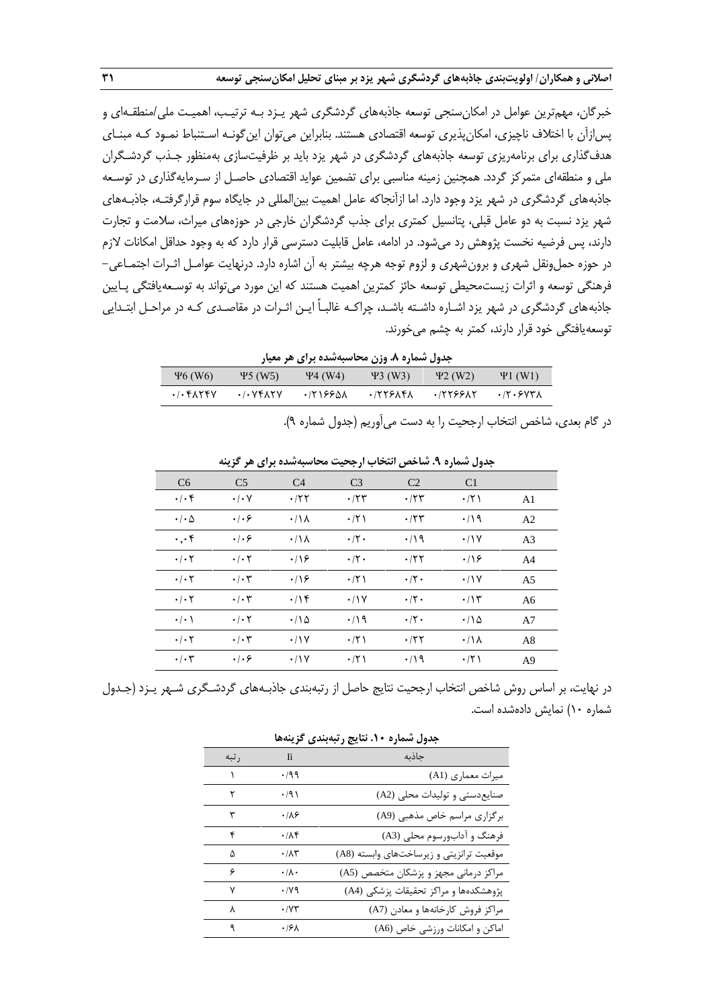خبرگان، مهمترین عوامل در امکانسنجی توسعه جاذبههای گردشگری شهر یـزد بـه ترتیـب، اهمیـت ملی/منطقـهای و پسازآن با اختالف ناچیزی، امکانپذیری توسعه اقتصادی هستند. بنابراین میتوان اینگونـه اسـتنباط نمـود کـه مبنـای هدفگذاری برای برنامهریزی توسعه جاذبههای گردشگری در شهر یزد باید بر ظرفیتسازی بهمنظور جـذب گردشـگران ملی و منطقهای متمرکز گردد. همچنین زمینه مناسبی برای تضمین عواید اقتصادی حاصـل از سـرمایهگذاری در توسـعه جاذبههای گردشگری در شهر یزد وجود دارد. اما ازآنجاکه عامل اهمیت بینالمللی در جایگاه سوم قرارگرفتـه، جاذبـههای شهر یزد نسبت به دو عامل قبلی، پتانسیل کمتری برای جذب گردشگران خارجی در حوزههای میراث، سالمت و تجارت دارند، پس فرضیه نخست پژوهش رد میشود. در ادامه، عامل قابلیت دسترسی قرار دارد که به وجود حداقل امکانات الزم در حوزه حملونقل شهری و برونشهری و لزوم توجه هرچه بیشتر به آن اشاره دارد. درنهایت عوامـل اثـرات اجتمـاعی- فرهنگی توسعه و اثرات زیستمحیطی توسعه حائز کمترین اهمیت هستند که این مورد میتواند به توسـعهیافتگی پـایین جاذبههای گردشگری در شهر یزد اشـاره داشـته باشـد، چراکـه غالبـاً ایـن اثـرات در مقاصـدی کـه در مراحـل ابتـدایی توسعهیافتگی خود قرار دارند، کمتر به چشم میخورند.

|  |  |  | جدول شماره ۸. وزن محاسبهشده برای هر معیار |  |  |  |
|--|--|--|-------------------------------------------|--|--|--|
|--|--|--|-------------------------------------------|--|--|--|

| $\Psi$ 6 (W <sub>6</sub> )                                                                                                                                                                  | $\Psi$ 5 (W5) | $\Psi$ 4 (W4) | $43$ (W3) | $42$ (W2) | $\Psi1$ (W1) |
|---------------------------------------------------------------------------------------------------------------------------------------------------------------------------------------------|---------------|---------------|-----------|-----------|--------------|
| $.$ $\left. \cdot \right.$ $\left. \cdot \right.$ $\left. \cdot \right.$ $\left. \cdot \right.$ $\left. \cdot \right.$ $\left. \cdot \right.$ $\left. \cdot \right.$ $\left. \cdot \right.$ | .7.94         | ۸۵۶۶۱۰۰ ۰     | .75525A   | ۰/۲۲۶۶۸۲  | .77.5977A    |
|                                                                                                                                                                                             |               |               |           |           |              |

در گام بعدی، شاخص انتخاب ارجحیت را به دست میآوریم )جدول شماره 9(.

| C <sub>6</sub>             | C <sub>5</sub>                 | C <sub>4</sub>  | C <sub>3</sub>     | C <sub>2</sub>     | C <sub>1</sub>       |                |
|----------------------------|--------------------------------|-----------------|--------------------|--------------------|----------------------|----------------|
| $\cdot \mid \cdot \rangle$ | $\cdot/\cdot$ Y                | $\cdot$ /۲۲     | $\cdot$ /۲۳        | $\cdot$ /۲۳        | $\cdot$ /۲۱          | A <sub>1</sub> |
| $\cdot$ / $\cdot$ $\Delta$ | $\cdot$ / $\cdot$ 6            | $\cdot/\lambda$ | $\cdot$ /۲)        | $\cdot$ /۲۳        | $\cdot$ /19          | A <sub>2</sub> |
| $\cdot \cdot \cdot$ ۴      | $\cdot \cdot \cdot$            | $\cdot/\lambda$ | $\cdot$ /۲ $\cdot$ | $\cdot$ /19        | $\cdot$ /\Y          | A <sub>3</sub> |
| $\cdot$ / $\cdot$ $\cdot$  | $\cdot$ / $\cdot$ $\cdot$      | .19             | $\cdot$ /۲ $\cdot$ | .75                | .19                  | A <sub>4</sub> |
| $\cdot$ / $\cdot$ $\cdot$  | $\cdot/\cdot7$                 | .19             | $\cdot$ /۲)        | $\cdot$ /۲ $\cdot$ | $\cdot$ /\Y          | A <sub>5</sub> |
| $\cdot$ / $\cdot$ $\cdot$  | $\cdot/\cdot7$                 | .19             | $\cdot$ /\Y        | $\cdot$ /٢ $\cdot$ | $\cdot$ / $\uparrow$ | A6             |
| $\cdot$ / $\cdot$ \        | $\cdot$ / $\cdot$ $\cdot$      | $\cdot$ /18     | $\cdot$ /19        | $\cdot$ /۲ $\cdot$ | $\cdot$ /18          | A7             |
| $\cdot$ / $\cdot$ $\cdot$  | $\cdot$ / $\cdot$ ۳            | $\cdot$ /\Y     | $\cdot$ /۲۱        | $\cdot$ /۲۲        | $\cdot/\lambda$      | A8             |
| $\cdot$ / $\cdot$ $\tau$   | $\cdot \mid \cdot \varepsilon$ | .11V            | $\cdot$ /٢١        | $\cdot$ /19        | $\cdot$ /۲)          | A <sup>9</sup> |

**جدول شماره .9 شاخص انتخاب ارجحیت محاسبهشده برای هر گزینه**

در نهایت، بر اساس روش شاخص انتخاب ارجحیت نتایج حاصل از رتبهبندی جاذبـههای گردشـگری شـهر یـزد )جـدول شماره 10( نمایش دادهشده است.

| جدول شماره ۱۰. نتایج رتبهبندی گزینهها |                      |                                          |  |  |  |
|---------------------------------------|----------------------|------------------------------------------|--|--|--|
| ر تبه                                 | $\overline{a}$       | جاذبه                                    |  |  |  |
| $\mathcal{N}$                         | $\cdot$ /99          | میراث معماری (A1)                        |  |  |  |
| ٢                                     | $\cdot$ /9)          | صنایع دستی و تولیدات محلی (A2)           |  |  |  |
| ٣                                     | .189                 | برگزاری مراسم خاص مذهبی (A9)             |  |  |  |
| ۴                                     | .11                  | فرهنگ و آدابورسوم محلی (A3)              |  |  |  |
| ۵                                     | $\cdot$ / $\wedge$ ۳ | موقعیت ترانزیتی و زیرساختهای وابسته (A8) |  |  |  |
| ۶                                     | $\cdot/\lambda$ .    | مراکز درمانی مجهز و پزشکان متخصص (A5)    |  |  |  |
| ۷                                     | $\cdot$ /yq          | پژوهشکدهها و مراکز تحقیقات پزشکی (A4)    |  |  |  |
| γ                                     | ۰/۷۳                 | مراكز فروش كارخانهها و معادن (A7)        |  |  |  |
| ٩                                     | ۰۱۶۸                 | اماکن و امکانات ورزشی خاص (A6)           |  |  |  |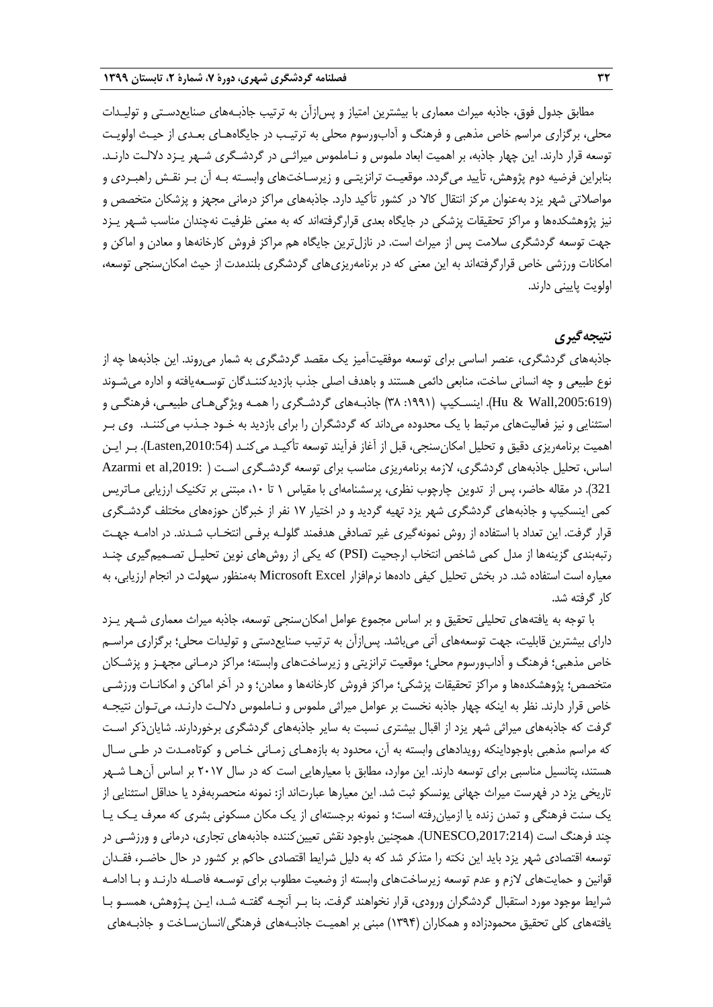مطابق جدول فوق، جاذبه میراث معماری با بیشترین امتیاز و پسازآن به ترتیب جاذبـههای صنایعدسـتی و تولیـدات محلی، برگزاری مراسم خاص مذهبی و فرهنگ و آدابورسوم محلی به ترتیـب در جایگاههـای بعـدی از حیـ اولویـت توسعه قرار دارند. این چهار جاذبه، بر اهمیت ابعاد ملموس و نـاملموس میراثـی در گردشـگری شـهر یـزد داللـت دارنـد. بنابراین فرضیه دوم پژوهش، تأیید میگردد. موقعیـت ترانزیتـی و زیرسـاختهای وابسـته بـه آن بـر نقـش راهبـردی و مواصالتی شهر یزد بهعنوان مرکز انتقال کاال در کشور تأکید دارد. جاذبههای مراکز درمانی مجهز و پزشکان متخصص و نیز پژوهشکدهها و مراکز تحقیقات پزشکی در جایگاه بعدی قرارگرفتهاند که به معنی ظرفیت نهچندان مناسب شـهر یـزد جهت توسعه گردشگری سالمت پس از میراث است. در نازلترین جایگاه هم مراکز فروش کارخانهها و معادن و اماکن و امکانات ورزشی خاص قرارگرفتهاند به این معنی که در برنامهریزیهای گردشگری بلندمدت از حیث امکانِسنجی توسعه، اولویت پایینی دارند.

# **نتیجهگیری**

جاذبههای گردشگری، عنصر اساسی برای توسعه موفقیتآمیز یک مقصد گردشگری به شمار میروند. این جاذبهها چه از نوع طبیعی و چه انسانی ساخت، منابعی دائمی هستند و باهدف اصلی جذب بازدیدکننـدگان توسـعهیافته و اداره میشـوند ),2005:619Wall & Hu). اینسـکیپ ):1991 38( جاذبـههای گردشـگری را همـه ویژگیهـای طبیعـی، فرهنگـی و استثنایی و نیز فعالیتهای مرتبط با یک محدوده میداند که گردشگران را برای بازدید به خـود جـذب میکننـد. وی بـر اهمیت برنامهریزی دقیق و تحلیل امکانسنجی، قبل از آغاز فرآیند توسعه تأکیـد میکنـد ),2010:54Lasten). بـر ایـن اساس، تحلیل جاذبههای گردشگری، لازمه برنامهریزی مناسب برای توسعه گردشـگری اسـت ( .Azarmi et al,2019 321(. در مقاله حاضر، پس از تدوین چارچوب نظری، پرسشنامهای با مقیاس 1 تا ،10 مبتنی بر تکنیک ارزیابی مـاتریس کمی اینسکیپ و جاذبههای گردشگری شهر یزد تهیه گردید و در اختیار 17 نفر از خبرگان حوزههای مختلف گردشـگری قرار گرفت. این تعداد با استفاده از روش نمونهگیری غیر تصادفی هدفمند گلولـه برفـی انتخـاب شـدند. در ادامـه جهـت رتبهبندی گزینهها از مدل کمی شاخص انتخاب ارجحیت (PSI (که یکی از روشهای نوین تحلیـل تصـمیمگیری چنـد معیاره است استفاده شد. در بخش تحلیل کیفی دادهها نرمافزار Excel Microsoft بهمنظور سهولت در انجام ارزیابی، به کار گرفته شد.

با توجه به یافتههای تحلیلی تحقیق و بر اساس مجموع عوامل امکانسنجی توسعه، جاذبه میراث معماری شـهر یـزد دارای بیشترین قابلیت، جهت توسعههای آتی میباشد. پسازآن به ترتیب صنایعدستی و تولیدات محلی؛ برگزاری مراسـم خاص مذهبی؛ فرهنگ و آدابورسوم محلی؛ موقعیت ترانزیتی و زیرساختهای وابسته؛ مراکز درمـانی مجهـز و پزشـکان متخصص؛ پژوهشکدهها و مراکز تحقیقات پزشکی؛ مراکز فروش کارخانهها و معادن؛ و در آخر اماکن و امکانـات ورزشـی خاص قرار دارند. نظر به اینکه چهار جاذبه نخست بر عوامل میراثی ملموس و نـاملموس داللـت دارنـد، میتـوان نتیجـه گرفت که جاذبههای میراثی شهر یزد از اقبال بیشتری نسبت به سایر جاذبههای گردشگری برخوردارند. شایانذکر اسـت که مراسم مذهبی باوجوداینکه رویدادهای وابسته به آن، محدود به بازههـای زمـانی خـاص و کوتاهمـدت در طـی سـال هستند، پتانسیل مناسبی برای توسعه دارند. این موارد، مطابق با معیارهایی است که در سال 2017 بر اساس آنهـا شـهر تاریخی یزد در فهرست میراث جهانی یونسکو ثبت شد. این معیارها عبارتاند از: نمونه منحصربهفرد یا حداقل استثنایی از یک سنت فرهنگی و تمدن زنده یا ازمیانرفته است؛ و نمونه برجستهای از یک مکان مسکونی بشری که معرف یـک یـا چند فرهنگ است ),2017:214UNESCO). همچنین باوجود نقش تعیینکننده جاذبههای تجاری، درمانی و ورزشـی در توسعه اقتصادی شهر یزد باید این نکته را متذکر شد که به دلیل شرایط اقتصادی حاکم بر کشور در حال حاضـر، فقـدان قوانین و حمایتهای الزم و عدم توسعه زیرساختهای وابسته از وضعیت مطلوب برای توسـعه فاصـله دارنـد و بـا ادامـه شرایط موجود مورد استقبال گردشگران ورودی، قرار نخواهند گرفت. بنا بـر آنچـه گفتـه شـد، ایـن پـژوهش، همسـو بـا یافتههای کلی تحقیق محمودزاده و همکاران )1394( مبنی بر اهمیـت جاذبـههای فرهنگی/انسانسـاخت و جاذبـههای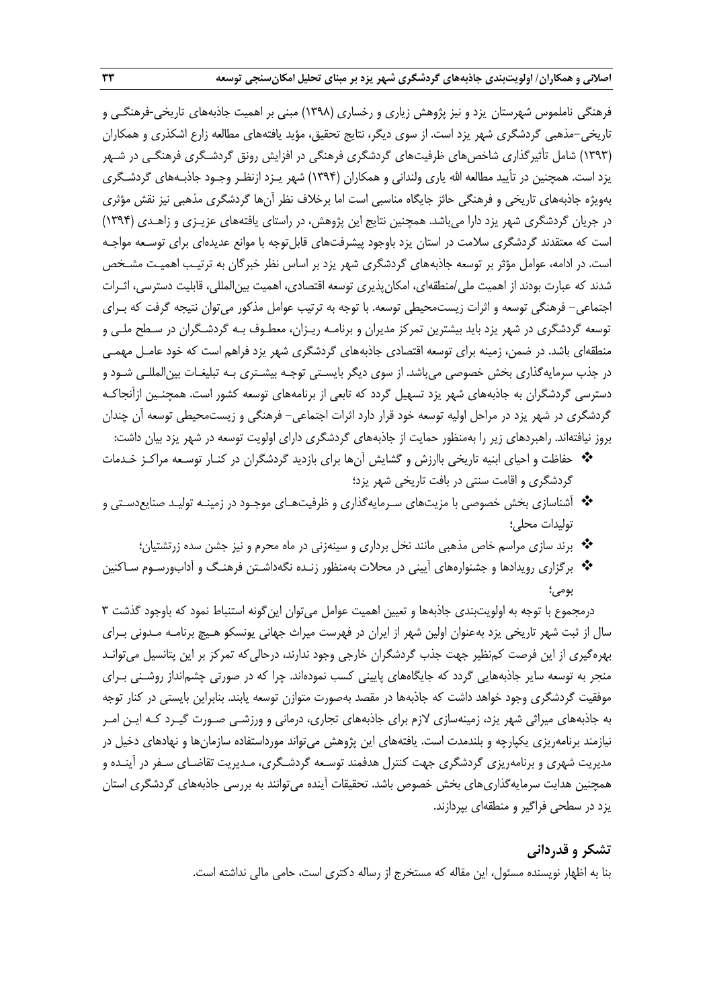فرهنگی ناملموس شهرستان یزد و نیز پژوهش زیاری و رخساری )1398( مبنی بر اهمیت جاذبههای تاریخی-فرهنگـی و تاریخی-مذهبی گردشگری شهر یزد است. از سوی دیگر، نتایج تحقیق، مؤید یافتههای مطالعه زارع اشکذری و همکاران )1393( شامل تأثیرگذاری شاخصهای ظرفیتهای گردشگری فرهنگی در افزایش رونق گردشـگری فرهنگـی در شـهر یزد است. همچنین در تأیید مطالعه الله یاری ولندانی و همکاران (۱۳۹۴) شهر یـزد ازنظـر وجـود جاذبـههای گردشـگری بهویژه جاذبههای تاریخی و فرهنگی حائز جایگاه مناسبی است اما برخالف نظر آنها گردشگری مذهبی نیز نقش مؤثری در جریان گردشگری شهر یزد دارا میباشد. همچنین نتایج این پژوهش، در راستای یافتههای عزیـزی و زاهـدی )1394( است که معتقدند گردشگری سالمت در استان یزد باوجود پیشرفتهای قابلتوجه با موانع عدیدهای برای توسـعه مواجـه است. در ادامه، عوامل مؤثر بر توسعه جاذبههای گردشگری شهر یزد بر اساس نظر خبرگان به ترتیـب اهمیـت مشـخص شدند که عبارت بودند از اهمیت ملی/منطقهای، امکانپذیری توسعه اقتصادی، اهمیت بینالمللی، قابلیت دسترسی، اثـرات اجتماعی- فرهنگی توسعه و اثرات زیستمحیطی توسعه. با توجه به ترتیب عوامل مذکور میتوان نتیجه گرفت که بـرای توسعه گردشگری در شهر یزد باید بیشترین تمرکز مدیران و برنامـه ریـزان، معطـوف بـه گردشـگران در سـطح ملـی و منطقهای باشد. در ضمن، زمینه برای توسعه اقتصادی جاذبههای گردشگری شهر یزد فراهم است که خود عامـل مهمـی در جذب سرمایهگذاری بخش خصوصی میباشد. از سوی دیگر بایسـتی توجـه بیشـتری بـه تبلیغـات بینالمللـی شـود و دسترسی گردشگران به جاذبههای شهر یزد تسهیل گردد که تابعی از برنامههای توسعه کشور است. همچنـین ازآنجاکـه گردشگری در شهر یزد در مراحل اولیه توسعه خود قرار دارد اثرات اجتماعی- فرهنگی و زیستمحیطی توسعه آن چندان بروز نیافتهاند. راهبردهای زیر را بهمنظور حمایت از جاذبههای گردشگری دارای اولویت توسعه در شهر یزد بیان داشت:

- حفاظت و احیای ابنیه تاریخی باارزش و گشایش آنها برای بازدید گردشگران در کنـار توسـعه مراکـز خـدمات گردشگری و اقامت سنتی در بافت تاریخی شهر یزد؛
- آشناسازی بخش خصوصی با مزیتهای سـرمایهگذاری و ظرفیتهـای موجـود در زمینـه تولیـد صنایعدسـتی و تولیدات محلی؛
	- برند سازی مراسم خاص مذهبی مانند نخل برداری و سینهزنی در ماه محرم و نیز جشن سده زرتشتیان؛
- برگزاری رویدادها و جشنوارههای آیینی در محالت بهمنظور زنـده نگهداشـتن فرهنـگ و آدابورسـوم سـاکنین بومی؛

درمجموع با توجه به اولویتبندی جاذبهها و تعیین اهمیت عوامل میتوان اینگونه استنباط نمود که باوجود گذشت 3 سال از ثبت شهر تاریخی یزد بهعنوان اولین شهر از ایران در فهرست میراث جهانی یونسکو هـیچ برنامـه مـدونی بـرای بهرهگیری از این فرصت کمنظیر جهت جذب گردشگران خارجی وجود ندارند، درحالیکه تمرکز بر این پتانسیل میتوانـد منجر به توسعه سایر جاذبههایی گردد که جایگاههای پایینی کسب نمودهاند. چرا که در صورتی چشمانداز روشـنی بـرای موفقیت گردشگری وجود خواهد داشت که جاذبهها در مقصد بهصورت متوازن توسعه یابند. بنابراین بایستی در کنار توجه به جاذبههای میراثی شهر یزد، زمینهسازی الزم برای جاذبههای تجاری، درمانی و ورزشـی صـورت گیـرد کـه ایـن امـر نیازمند برنامهریزی یکپارچه و بلندمدت است. یافتههای این پژوهش میتواند مورداستفاده سازمانها و نهادهای دخیل در مدیریت شهری و برنامهریزی گردشگری جهت کنترل هدفمند توسـعه گردشـگری، مـدیریت تقاضـای سـفر در آینـده و همچنین هدایت سرمایهگذاریهای بخش خصوص باشد. تحقیقات آینده میتوانند به بررسی جاذبههای گردشگری استان یزد در سطحی فراگیر و منطقهای بپردازند.

## **تشکر و قدردانی**

بنا به اظهار نویسنده مسئول، این مقاله که مستخرج از رساله دکتری است، حامی مالی نداشته است.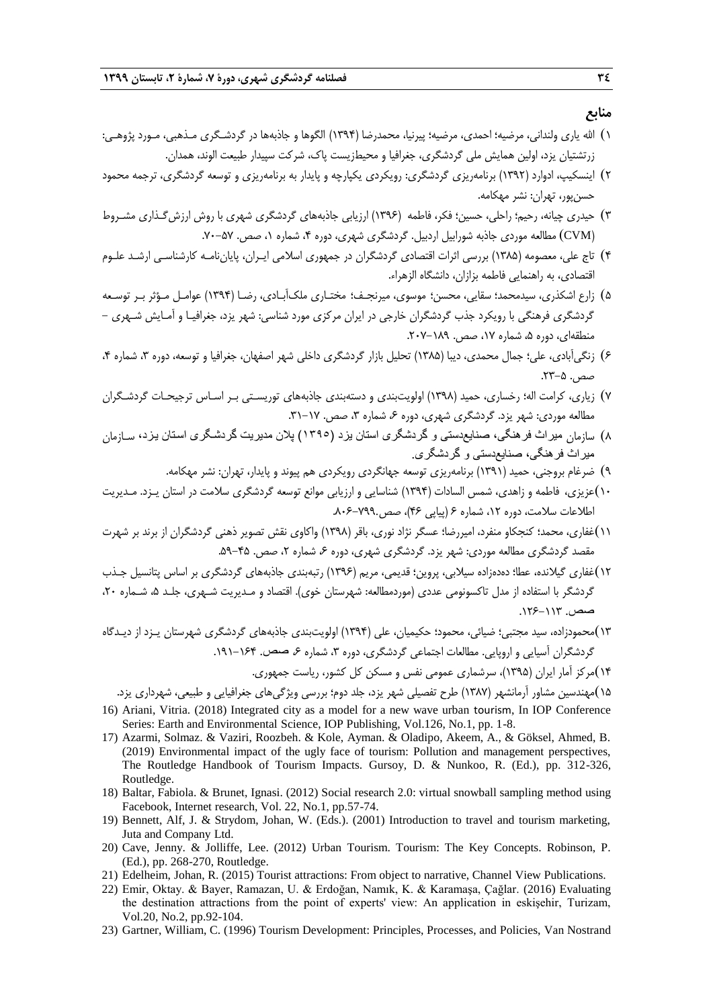#### **منابع**

- 1( اهلل یاری ولندانی، مرضیه؛ احمدی، مرضیه؛ پیرنیا، محمدرضا )1394( الگوها و جاذبهها در گردشـگری مـذهبی، مـورد پژوهـی: زرتشتیان یزد، اولین همایش ملی گردشگری، جغرافیا و محیطزیست پاک، شرکت سپیدار طبیعت الوند، همدان.
- 2( اینسکیپ، ادوارد )1392( برنامهریزی گردشگری: رویکردی یکپارچه و پایدار به برنامهریزی و توسعه گردشگری، ترجمه محمود حسنپور، تهران: نشر مهکامه.
- 3( حیدری چیانه، رحیم؛ راحلی، حسین؛ فکر، فاطمه )1396( ارزیابی جاذبههای گردشگری شهری با روش ارزشگـذاری مشـروط )CVM )مطالعه موردی جاذبه شورابیل اردبیل. گردشگری شهری، دوره ،4 شماره ،1 صص. .70-57
- 4( تاج علی، معصومه )1385( بررسی اثرات اقتصادی گردشگران در جمهوری اسالمی ایـران، پایاننامـه کارشناسـی ارشـد علـوم اقتصادی، به راهنمایی فاطمه بزازان، دانشگاه الزهراء.
- 5( زارع اشکذری، سیدمحمد؛ سقایی، محسن؛ موسوی، میرنجـف؛ مختـاری ملکآبـادی، رضـا )1394( عوامـل مـؤثر بـر توسـعه گردشگری فرهنگی با رویکرد جذب گردشگران خارجی در ایران مرکزی مورد شناسی: شهر یزد، جغرافیـا و آمـایش شـهری - منطقهای، دوره ۵، شماره ۱۷، صص. ۱۸۹–۲۰۷.
- ۶) زنگیآبادی، علی؛ جمال محمدی، دیبا (۱۳۸۵) تحلیل بازار گردشگری داخلی شهر اصفهان، جغرافیا و توسعه، دوره ۳، شماره ۴، صص. ۵–۲۳.
- 7( زیاری، کرامت اله؛ رخساری، حمید )1398( اولویتبندی و دستهبندی جاذبههای توریسـتی بـر اسـاس ترجیحـات گردشـگران مطالعه موردی: شهر یزد. گردشگری شهری، دوره ۶، شماره ۳، صص. ۱۷–۳۱.
- 8( سازمان میراث فرهنگی، صنایعدستی و گردشگری استان یزد )1395( پالن مدیریت گردشگگری اسگتان یگزد، سـازمان میراث فرهنگی، صنایعدستی و گردشگری.
	- 9( ضرغام بروجنی، حمید )1391( برنامهریزی توسعه جهانگردی رویکردی هم پیوند و پایدار، تهران: نشر مهکامه.
- 10(عزیزی، فاطمه و زاهدی، شمس السادات )1394( شناسایی و ارزیابی موانع توسعه گردشگری سالمت در استان یـزد. مـدیریت اطالعات سالمت، دوره ،12 شماره 6 )پیاپی 46(، صص.806-799.
- 11(غفاری، محمد؛ کنجکاو منفرد، امیررضا؛ عسگر نژاد نوری، باقر )1398( واکاوی نقش تصویر ذهنی گردشگران از برند بر شهرت مقصد گردشگری مطالعه موردی: شهر یزد. گردشگری شهری، دوره ۶، شماره ۲، صص. ۴۵–۵۹.
- 12(غفاری گیالنده، عطا؛ دهدهزاده سیالبی، پروین؛ قدیمی، مریم )1396( رتبهبندی جاذبههای گردشگری بر اساس پتانسیل جـذب گردشگر با استفاده از مدل تاکسونومی عددی (موردمطالعه: شهرستان خوی). اقتصاد و مـدیریت شـهری، جلـد ۵، شـماره ۲۰، صص. .126-113
- 13(محمودزاده، سید مجتبی؛ ضیائی، محمود؛ حکیمیان، علی )1394( اولویتبندی جاذبههای گردشگری شهرستان یـزد از دیـدگاه گردشگران آسیایی و اروپایی. مطالعات اجتماعی گردشگری، دوره ۳، شماره ۶، صص. ۱۶۴-۱۹۱. 14(مرکز آمار ایران )1395(، سرشماری عمومی نفس و مسکن کل کشور، ریاست جمهوری.

15(مهندسین مشاور آرمانشهر )1387( طرح تفصیلی شهر یزد، جلد دوم؛ بررسی ویژگیهای جغرافیایی و طبیعی، شهرداری یزد. 16) Ariani, Vitria. (2018) Integrated city as a model for a new wave urban tourism, In IOP Conference Series: Earth and Environmental Science, IOP Publishing, Vol.126, No.1, pp. 1-8.

- 17) Azarmi, Solmaz. & Vaziri, Roozbeh. & Kole, Ayman. & Oladipo, Akeem, A., & Göksel, Ahmed, B. (2019) Environmental impact of the ugly face of tourism: Pollution and management perspectives, The Routledge Handbook of Tourism Impacts. Gursoy, D. & Nunkoo, R. (Ed.), pp. 312-326, Routledge.
- 18) Baltar, Fabiola. & Brunet, Ignasi. (2012) Social research 2.0: virtual snowball sampling method using Facebook, Internet research, Vol. 22, No.1, pp.57-74.
- 19) Bennett, Alf, J. & Strydom, Johan, W. (Eds.). (2001) Introduction to travel and tourism marketing, Juta and Company Ltd.
- 20) Cave, Jenny. & Jolliffe, Lee. (2012) Urban Tourism. Tourism: The Key Concepts. Robinson, P. (Ed.), pp. 268-270, Routledge.
- 21) Edelheim, Johan, R. (2015) Tourist attractions: From object to narrative, Channel View Publications.
- 22) Emir, Oktay. & Bayer, Ramazan, U. & Erdoğan, Namık, K. & Karamaşa, Çağlar. (2016) Evaluating the destination attractions from the point of experts' view: An application in eskişehir, Turizam, Vol.20, No.2, pp.92-104.
- 23) Gartner, William, C. (1996) Tourism Development: Principles, Processes, and Policies, Van Nostrand